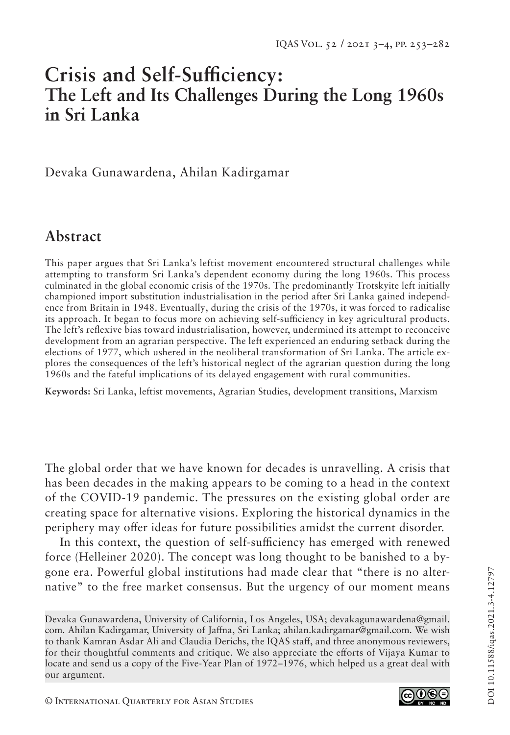# **Crisis and Self-Sufficiency: The Left and Its Challenges During the Long 1960s in Sri Lanka**

Devaka Gunawardena, Ahilan Kadirgamar

# **Abstract**

This paper argues that Sri Lanka's leftist movement encountered structural challenges while attempting to transform Sri Lanka's dependent economy during the long 1960s. This process culminated in the global economic crisis of the 1970s. The predominantly Trotskyite left initially championed import substitution industrialisation in the period after Sri Lanka gained independence from Britain in 1948. Eventually, during the crisis of the 1970s, it was forced to radicalise its approach. It began to focus more on achieving self-sufficiency in key agricultural products. The left's reflexive bias toward industrialisation, however, undermined its attempt to reconceive development from an agrarian perspective. The left experienced an enduring setback during the elections of 1977, which ushered in the neoliberal transformation of Sri Lanka. The article explores the consequences of the left's historical neglect of the agrarian question during the long 1960s and the fateful implications of its delayed engagement with rural communities.

**Keywords:** Sri Lanka, leftist movements, Agrarian Studies, development transitions, Marxism

The global order that we have known for decades is unravelling. A crisis that has been decades in the making appears to be coming to a head in the context of the COVID-19 pandemic. The pressures on the existing global order are creating space for alternative visions. Exploring the historical dynamics in the periphery may offer ideas for future possibilities amidst the current disorder.

In this context, the question of self-sufficiency has emerged with renewed force (Helleiner 2020). The concept was long thought to be banished to a bygone era. Powerful global institutions had made clear that "there is no alternative" to the free market consensus. But the urgency of our moment means



Devaka Gunawardena, University of California, Los Angeles, USA; devakagunawardena@gmail. com. Ahilan Kadirgamar, University of Jaffna, Sri Lanka; ahilan.kadirgamar@gmail.com. We wish to thank Kamran Asdar Ali and Claudia Derichs, the IQAS staff, and three anonymous reviewers, for their thoughtful comments and critique. We also appreciate the efforts of Vijaya Kumar to locate and send us a copy of the Five-Year Plan of 1972–1976, which helped us a great deal with our argument.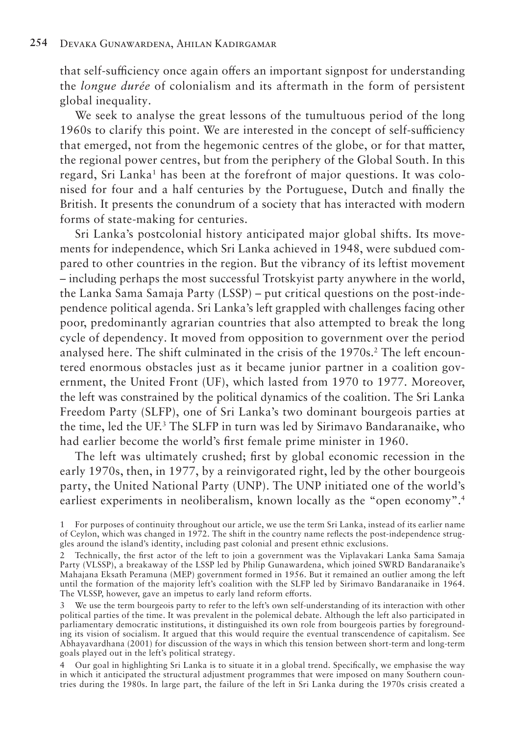that self-sufficiency once again offers an important signpost for understanding the *longue durée* of colonialism and its aftermath in the form of persistent global inequality.

We seek to analyse the great lessons of the tumultuous period of the long 1960s to clarify this point. We are interested in the concept of self-sufficiency that emerged, not from the hegemonic centres of the globe, or for that matter, the regional power centres, but from the periphery of the Global South. In this regard, Sri Lanka<sup>1</sup> has been at the forefront of major questions. It was colonised for four and a half centuries by the Portuguese, Dutch and finally the British. It presents the conundrum of a society that has interacted with modern forms of state-making for centuries.

Sri Lanka's postcolonial history anticipated major global shifts. Its movements for independence, which Sri Lanka achieved in 1948, were subdued compared to other countries in the region. But the vibrancy of its leftist movement – including perhaps the most successful Trotskyist party anywhere in the world, the Lanka Sama Samaja Party (LSSP) – put critical questions on the post-independence political agenda. Sri Lanka's left grappled with challenges facing other poor, predominantly agrarian countries that also attempted to break the long cycle of dependency. It moved from opposition to government over the period analysed here. The shift culminated in the crisis of the 1970s.<sup>2</sup> The left encountered enormous obstacles just as it became junior partner in a coalition government, the United Front (UF), which lasted from 1970 to 1977. Moreover, the left was constrained by the political dynamics of the coalition. The Sri Lanka Freedom Party (SLFP), one of Sri Lanka's two dominant bourgeois parties at the time, led the UF.3 The SLFP in turn was led by Sirimavo Bandaranaike, who had earlier become the world's first female prime minister in 1960.

The left was ultimately crushed; first by global economic recession in the early 1970s, then, in 1977, by a reinvigorated right, led by the other bourgeois party, the United National Party (UNP). The UNP initiated one of the world's earliest experiments in neoliberalism, known locally as the "open economy".<sup>4</sup>

1 For purposes of continuity throughout our article, we use the term Sri Lanka, instead of its earlier name of Ceylon, which was changed in 1972. The shift in the country name reflects the post-independence struggles around the island's identity, including past colonial and present ethnic exclusions.

3 We use the term bourgeois party to refer to the left's own self-understanding of its interaction with other political parties of the time. It was prevalent in the polemical debate. Although the left also participated in parliamentary democratic institutions, it distinguished its own role from bourgeois parties by foregrounding its vision of socialism. It argued that this would require the eventual transcendence of capitalism. See Abhayavardhana (2001) for discussion of the ways in which this tension between short-term and long-term goals played out in the left's political strategy.

4 Our goal in highlighting Sri Lanka is to situate it in a global trend. Specifically, we emphasise the way in which it anticipated the structural adjustment programmes that were imposed on many Southern countries during the 1980s. In large part, the failure of the left in Sri Lanka during the 1970s crisis created a

<sup>2</sup> Technically, the first actor of the left to join a government was the Viplavakari Lanka Sama Samaja Party (VLSSP), a breakaway of the LSSP led by Philip Gunawardena, which joined SWRD Bandaranaike's Mahajana Eksath Peramuna (MEP) government formed in 1956. But it remained an outlier among the left until the formation of the majority left's coalition with the SLFP led by Sirimavo Bandaranaike in 1964. The VLSSP, however, gave an impetus to early land reform efforts.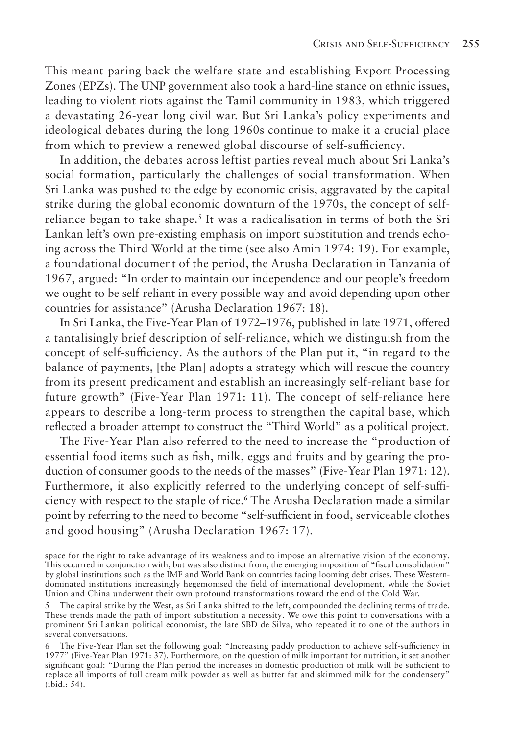This meant paring back the welfare state and establishing Export Processing Zones (EPZs). The UNP government also took a hard-line stance on ethnic issues, leading to violent riots against the Tamil community in 1983, which triggered a devastating 26-year long civil war. But Sri Lanka's policy experiments and ideological debates during the long 1960s continue to make it a crucial place from which to preview a renewed global discourse of self-sufficiency.

In addition, the debates across leftist parties reveal much about Sri Lanka's social formation, particularly the challenges of social transformation. When Sri Lanka was pushed to the edge by economic crisis, aggravated by the capital strike during the global economic downturn of the 1970s, the concept of selfreliance began to take shape.<sup>5</sup> It was a radicalisation in terms of both the Sri Lankan left's own pre-existing emphasis on import substitution and trends echoing across the Third World at the time (see also Amin 1974: 19). For example, a foundational document of the period, the Arusha Declaration in Tanzania of 1967, argued: "In order to maintain our independence and our people's freedom we ought to be self-reliant in every possible way and avoid depending upon other countries for assistance" (Arusha Declaration 1967: 18).

In Sri Lanka, the Five-Year Plan of 1972–1976, published in late 1971, offered a tantalisingly brief description of self-reliance, which we distinguish from the concept of self-sufficiency. As the authors of the Plan put it, "in regard to the balance of payments, [the Plan] adopts a strategy which will rescue the country from its present predicament and establish an increasingly self-reliant base for future growth" (Five-Year Plan 1971: 11). The concept of self-reliance here appears to describe a long-term process to strengthen the capital base, which reflected a broader attempt to construct the "Third World" as a political project.

The Five-Year Plan also referred to the need to increase the "production of essential food items such as fish, milk, eggs and fruits and by gearing the production of consumer goods to the needs of the masses" (Five-Year Plan 1971: 12). Furthermore, it also explicitly referred to the underlying concept of self-sufficiency with respect to the staple of rice.6 The Arusha Declaration made a similar point by referring to the need to become "self-sufficient in food, serviceable clothes and good housing" (Arusha Declaration 1967: 17).

space for the right to take advantage of its weakness and to impose an alternative vision of the economy. This occurred in conjunction with, but was also distinct from, the emerging imposition of "fiscal consolidation" by global institutions such as the IMF and World Bank on countries facing looming debt crises. These Westerndominated institutions increasingly hegemonised the field of international development, while the Soviet Union and China underwent their own profound transformations toward the end of the Cold War.

<sup>5</sup> The capital strike by the West, as Sri Lanka shifted to the left, compounded the declining terms of trade. These trends made the path of import substitution a necessity. We owe this point to conversations with a prominent Sri Lankan political economist, the late SBD de Silva, who repeated it to one of the authors in several conversations.

<sup>6</sup> The Five-Year Plan set the following goal: "Increasing paddy production to achieve self-sufficiency in 1977" (Five-Year Plan 1971: 37). Furthermore, on the question of milk important for nutrition, it set another significant goal: "During the Plan period the increases in domestic production of milk will be sufficient to replace all imports of full cream milk powder as well as butter fat and skimmed milk for the condensery" (ibid.: 54).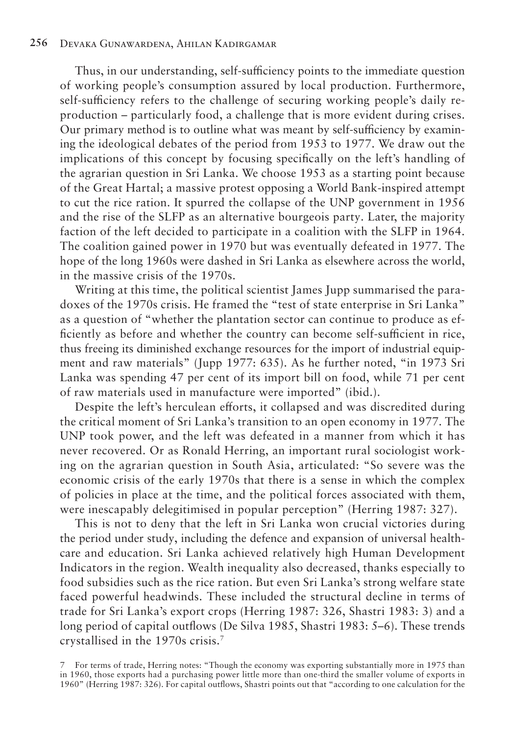Thus, in our understanding, self-sufficiency points to the immediate question of working people's consumption assured by local production. Furthermore, self-sufficiency refers to the challenge of securing working people's daily reproduction – particularly food, a challenge that is more evident during crises. Our primary method is to outline what was meant by self-sufficiency by examining the ideological debates of the period from 1953 to 1977. We draw out the implications of this concept by focusing specifically on the left's handling of the agrarian question in Sri Lanka. We choose 1953 as a starting point because of the Great Hartal; a massive protest opposing a World Bank-inspired attempt to cut the rice ration. It spurred the collapse of the UNP government in 1956 and the rise of the SLFP as an alternative bourgeois party. Later, the majority faction of the left decided to participate in a coalition with the SLFP in 1964. The coalition gained power in 1970 but was eventually defeated in 1977. The hope of the long 1960s were dashed in Sri Lanka as elsewhere across the world, in the massive crisis of the 1970s.

Writing at this time, the political scientist James Jupp summarised the paradoxes of the 1970s crisis. He framed the "test of state enterprise in Sri Lanka" as a question of "whether the plantation sector can continue to produce as efficiently as before and whether the country can become self-sufficient in rice, thus freeing its diminished exchange resources for the import of industrial equipment and raw materials" (Jupp 1977: 635). As he further noted, "in 1973 Sri Lanka was spending 47 per cent of its import bill on food, while 71 per cent of raw materials used in manufacture were imported" (ibid.).

Despite the left's herculean efforts, it collapsed and was discredited during the critical moment of Sri Lanka's transition to an open economy in 1977. The UNP took power, and the left was defeated in a manner from which it has never recovered. Or as Ronald Herring, an important rural sociologist working on the agrarian question in South Asia, articulated: "So severe was the economic crisis of the early 1970s that there is a sense in which the complex of policies in place at the time, and the political forces associated with them, were inescapably delegitimised in popular perception" (Herring 1987: 327).

This is not to deny that the left in Sri Lanka won crucial victories during the period under study, including the defence and expansion of universal healthcare and education. Sri Lanka achieved relatively high Human Development Indicators in the region. Wealth inequality also decreased, thanks especially to food subsidies such as the rice ration. But even Sri Lanka's strong welfare state faced powerful headwinds. These included the structural decline in terms of trade for Sri Lanka's export crops (Herring 1987: 326, Shastri 1983: 3) and a long period of capital outflows (De Silva 1985, Shastri 1983: 5–6). These trends crystallised in the 1970s crisis.7

<sup>7</sup> For terms of trade, Herring notes: "Though the economy was exporting substantially more in 1975 than in 1960, those exports had a purchasing power little more than one-third the smaller volume of exports in 1960" (Herring 1987: 326). For capital outflows, Shastri points out that "according to one calculation for the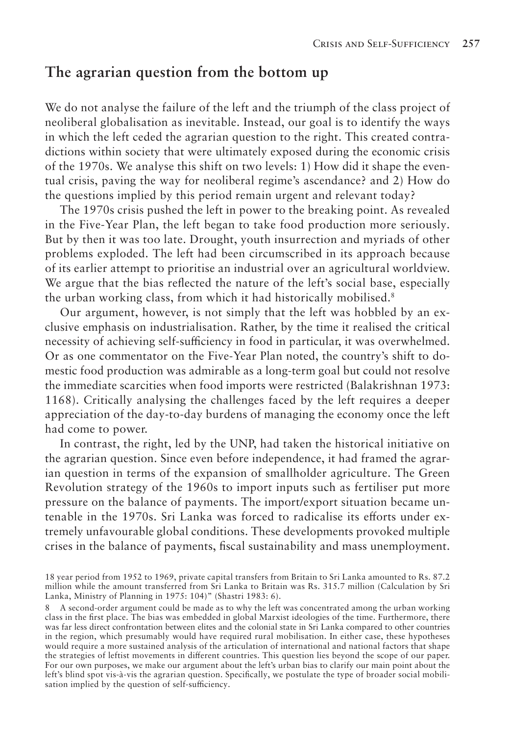#### **The agrarian question from the bottom up**

We do not analyse the failure of the left and the triumph of the class project of neoliberal globalisation as inevitable. Instead, our goal is to identify the ways in which the left ceded the agrarian question to the right. This created contradictions within society that were ultimately exposed during the economic crisis of the 1970s. We analyse this shift on two levels: 1) How did it shape the eventual crisis, paving the way for neoliberal regime's ascendance? and 2) How do the questions implied by this period remain urgent and relevant today?

The 1970s crisis pushed the left in power to the breaking point. As revealed in the Five-Year Plan, the left began to take food production more seriously. But by then it was too late. Drought, youth insurrection and myriads of other problems exploded. The left had been circumscribed in its approach because of its earlier attempt to prioritise an industrial over an agricultural worldview. We argue that the bias reflected the nature of the left's social base, especially the urban working class, from which it had historically mobilised.<sup>8</sup>

Our argument, however, is not simply that the left was hobbled by an exclusive emphasis on industrialisation. Rather, by the time it realised the critical necessity of achieving self-sufficiency in food in particular, it was overwhelmed. Or as one commentator on the Five-Year Plan noted, the country's shift to domestic food production was admirable as a long-term goal but could not resolve the immediate scarcities when food imports were restricted (Balakrishnan 1973: 1168). Critically analysing the challenges faced by the left requires a deeper appreciation of the day-to-day burdens of managing the economy once the left had come to power.

In contrast, the right, led by the UNP, had taken the historical initiative on the agrarian question. Since even before independence, it had framed the agrarian question in terms of the expansion of smallholder agriculture. The Green Revolution strategy of the 1960s to import inputs such as fertiliser put more pressure on the balance of payments. The import/export situation became untenable in the 1970s. Sri Lanka was forced to radicalise its efforts under extremely unfavourable global conditions. These developments provoked multiple crises in the balance of payments, fiscal sustainability and mass unemployment.

<sup>18</sup> year period from 1952 to 1969, private capital transfers from Britain to Sri Lanka amounted to Rs. 87.2 million while the amount transferred from Sri Lanka to Britain was Rs. 315.7 million (Calculation by Sri Lanka, Ministry of Planning in 1975: 104)" (Shastri 1983: 6).

<sup>8</sup> A second-order argument could be made as to why the left was concentrated among the urban working class in the first place. The bias was embedded in global Marxist ideologies of the time. Furthermore, there was far less direct confrontation between elites and the colonial state in Sri Lanka compared to other countries in the region, which presumably would have required rural mobilisation. In either case, these hypotheses would require a more sustained analysis of the articulation of international and national factors that shape the strategies of leftist movements in different countries. This question lies beyond the scope of our paper. For our own purposes, we make our argument about the left's urban bias to clarify our main point about the left's blind spot vis-à-vis the agrarian question. Specifically, we postulate the type of broader social mobilisation implied by the question of self-sufficiency.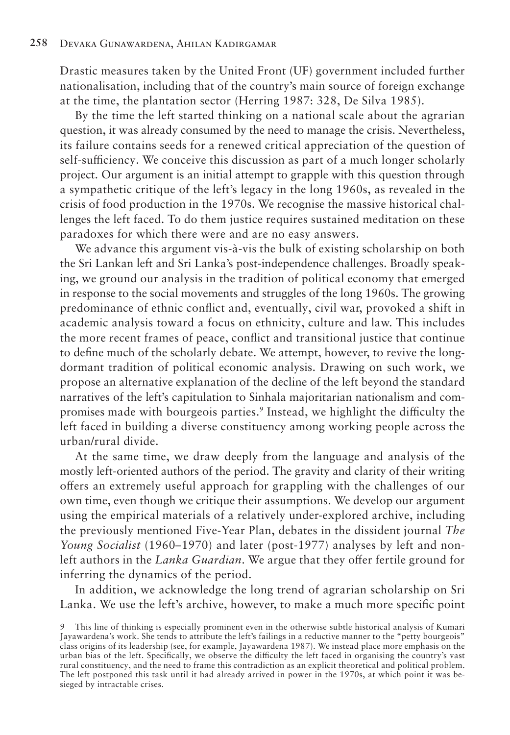Drastic measures taken by the United Front (UF) government included further nationalisation, including that of the country's main source of foreign exchange at the time, the plantation sector (Herring 1987: 328, De Silva 1985).

By the time the left started thinking on a national scale about the agrarian question, it was already consumed by the need to manage the crisis. Nevertheless, its failure contains seeds for a renewed critical appreciation of the question of self-sufficiency. We conceive this discussion as part of a much longer scholarly project. Our argument is an initial attempt to grapple with this question through a sympathetic critique of the left's legacy in the long 1960s, as revealed in the crisis of food production in the 1970s. We recognise the massive historical challenges the left faced. To do them justice requires sustained meditation on these paradoxes for which there were and are no easy answers.

We advance this argument vis-à-vis the bulk of existing scholarship on both the Sri Lankan left and Sri Lanka's post-independence challenges. Broadly speaking, we ground our analysis in the tradition of political economy that emerged in response to the social movements and struggles of the long 1960s. The growing predominance of ethnic conflict and, eventually, civil war, provoked a shift in academic analysis toward a focus on ethnicity, culture and law. This includes the more recent frames of peace, conflict and transitional justice that continue to define much of the scholarly debate. We attempt, however, to revive the longdormant tradition of political economic analysis. Drawing on such work, we propose an alternative explanation of the decline of the left beyond the standard narratives of the left's capitulation to Sinhala majoritarian nationalism and compromises made with bourgeois parties.9 Instead, we highlight the difficulty the left faced in building a diverse constituency among working people across the urban/rural divide.

At the same time, we draw deeply from the language and analysis of the mostly left-oriented authors of the period. The gravity and clarity of their writing offers an extremely useful approach for grappling with the challenges of our own time, even though we critique their assumptions. We develop our argument using the empirical materials of a relatively under-explored archive, including the previously mentioned Five-Year Plan, debates in the dissident journal *The Young Socialist* (1960–1970) and later (post-1977) analyses by left and nonleft authors in the *Lanka Guardian*. We argue that they offer fertile ground for inferring the dynamics of the period.

In addition, we acknowledge the long trend of agrarian scholarship on Sri Lanka. We use the left's archive, however, to make a much more specific point

<sup>9</sup> This line of thinking is especially prominent even in the otherwise subtle historical analysis of Kumari Jayawardena's work. She tends to attribute the left's failings in a reductive manner to the "petty bourgeois" class origins of its leadership (see, for example, Jayawardena 1987). We instead place more emphasis on the urban bias of the left. Specifically, we observe the difficulty the left faced in organising the country's vast rural constituency, and the need to frame this contradiction as an explicit theoretical and political problem. The left postponed this task until it had already arrived in power in the 1970s, at which point it was besieged by intractable crises.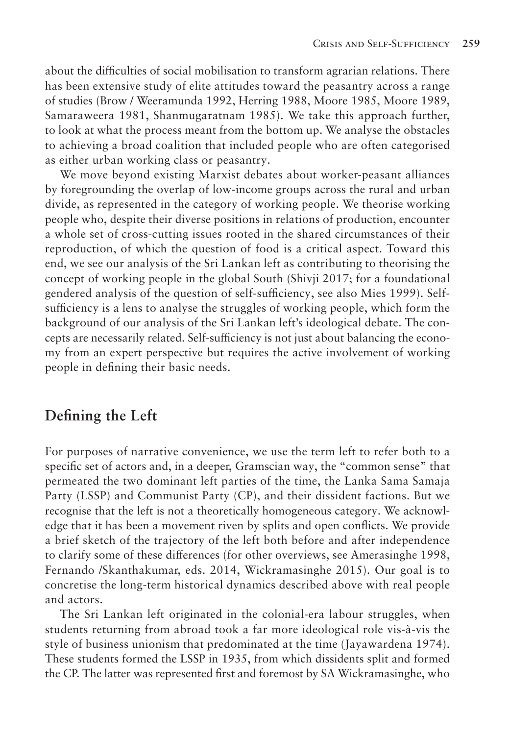about the difficulties of social mobilisation to transform agrarian relations. There has been extensive study of elite attitudes toward the peasantry across a range of studies (Brow / Weeramunda 1992, Herring 1988, Moore 1985, Moore 1989, Samaraweera 1981, Shanmugaratnam 1985). We take this approach further, to look at what the process meant from the bottom up. We analyse the obstacles to achieving a broad coalition that included people who are often categorised as either urban working class or peasantry.

We move beyond existing Marxist debates about worker-peasant alliances by foregrounding the overlap of low-income groups across the rural and urban divide, as represented in the category of working people. We theorise working people who, despite their diverse positions in relations of production, encounter a whole set of cross-cutting issues rooted in the shared circumstances of their reproduction, of which the question of food is a critical aspect. Toward this end, we see our analysis of the Sri Lankan left as contributing to theorising the concept of working people in the global South (Shivji 2017; for a foundational gendered analysis of the question of self-sufficiency, see also Mies 1999). Selfsufficiency is a lens to analyse the struggles of working people, which form the background of our analysis of the Sri Lankan left's ideological debate. The concepts are necessarily related. Self-sufficiency is not just about balancing the economy from an expert perspective but requires the active involvement of working people in defining their basic needs.

## **Defining the Left**

For purposes of narrative convenience, we use the term left to refer both to a specific set of actors and, in a deeper, Gramscian way, the "common sense" that permeated the two dominant left parties of the time, the Lanka Sama Samaja Party (LSSP) and Communist Party (CP), and their dissident factions. But we recognise that the left is not a theoretically homogeneous category. We acknowledge that it has been a movement riven by splits and open conflicts. We provide a brief sketch of the trajectory of the left both before and after independence to clarify some of these differences (for other overviews, see Amerasinghe 1998, Fernando /Skanthakumar, eds. 2014, Wickramasinghe 2015). Our goal is to concretise the long-term historical dynamics described above with real people and actors.

The Sri Lankan left originated in the colonial-era labour struggles, when students returning from abroad took a far more ideological role vis-à-vis the style of business unionism that predominated at the time (Jayawardena 1974). These students formed the LSSP in 1935, from which dissidents split and formed the CP. The latter was represented first and foremost by SA Wickramasinghe, who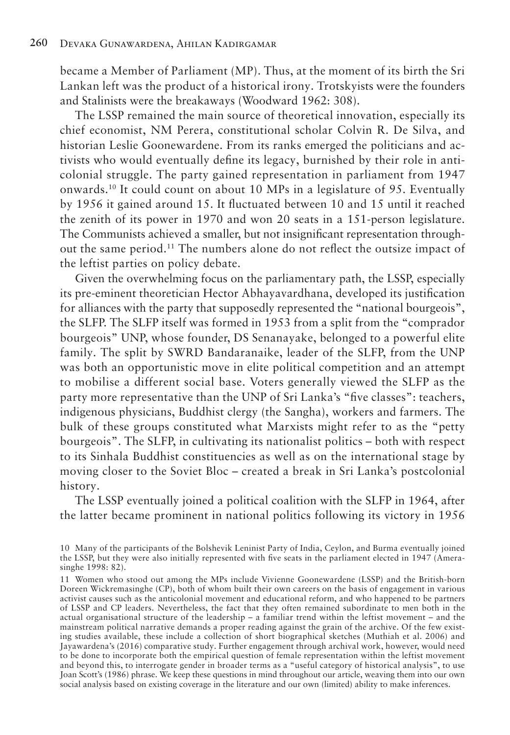became a Member of Parliament (MP). Thus, at the moment of its birth the Sri Lankan left was the product of a historical irony. Trotskyists were the founders and Stalinists were the breakaways (Woodward 1962: 308).

The LSSP remained the main source of theoretical innovation, especially its chief economist, NM Perera, constitutional scholar Colvin R. De Silva, and historian Leslie Goonewardene. From its ranks emerged the politicians and activists who would eventually define its legacy, burnished by their role in anticolonial struggle. The party gained representation in parliament from 1947 onwards.10 It could count on about 10 MPs in a legislature of 95. Eventually by 1956 it gained around 15. It fluctuated between 10 and 15 until it reached the zenith of its power in 1970 and won 20 seats in a 151-person legislature. The Communists achieved a smaller, but not insignificant representation throughout the same period.11 The numbers alone do not reflect the outsize impact of the leftist parties on policy debate.

Given the overwhelming focus on the parliamentary path, the LSSP, especially its pre-eminent theoretician Hector Abhayavardhana, developed its justification for alliances with the party that supposedly represented the "national bourgeois", the SLFP. The SLFP itself was formed in 1953 from a split from the "comprador bourgeois" UNP, whose founder, DS Senanayake, belonged to a powerful elite family. The split by SWRD Bandaranaike, leader of the SLFP, from the UNP was both an opportunistic move in elite political competition and an attempt to mobilise a different social base. Voters generally viewed the SLFP as the party more representative than the UNP of Sri Lanka's "five classes": teachers, indigenous physicians, Buddhist clergy (the Sangha), workers and farmers. The bulk of these groups constituted what Marxists might refer to as the "petty bourgeois". The SLFP, in cultivating its nationalist politics – both with respect to its Sinhala Buddhist constituencies as well as on the international stage by moving closer to the Soviet Bloc – created a break in Sri Lanka's postcolonial history.

The LSSP eventually joined a political coalition with the SLFP in 1964, after the latter became prominent in national politics following its victory in 1956

<sup>10</sup> Many of the participants of the Bolshevik Leninist Party of India, Ceylon, and Burma eventually joined the LSSP, but they were also initially represented with five seats in the parliament elected in 1947 (Amerasinghe 1998: 82).

<sup>11</sup> Women who stood out among the MPs include Vivienne Goonewardene (LSSP) and the British-born Doreen Wickremasinghe (CP), both of whom built their own careers on the basis of engagement in various activist causes such as the anticolonial movement and educational reform, and who happened to be partners of LSSP and CP leaders. Nevertheless, the fact that they often remained subordinate to men both in the actual organisational structure of the leadership – a familiar trend within the leftist movement – and the mainstream political narrative demands a proper reading against the grain of the archive. Of the few existing studies available, these include a collection of short biographical sketches (Muthiah et al. 2006) and Jayawardena's (2016) comparative study. Further engagement through archival work, however, would need to be done to incorporate both the empirical question of female representation within the leftist movement and beyond this, to interrogate gender in broader terms as a "useful category of historical analysis", to use Joan Scott's (1986) phrase. We keep these questions in mind throughout our article, weaving them into our own social analysis based on existing coverage in the literature and our own (limited) ability to make inferences.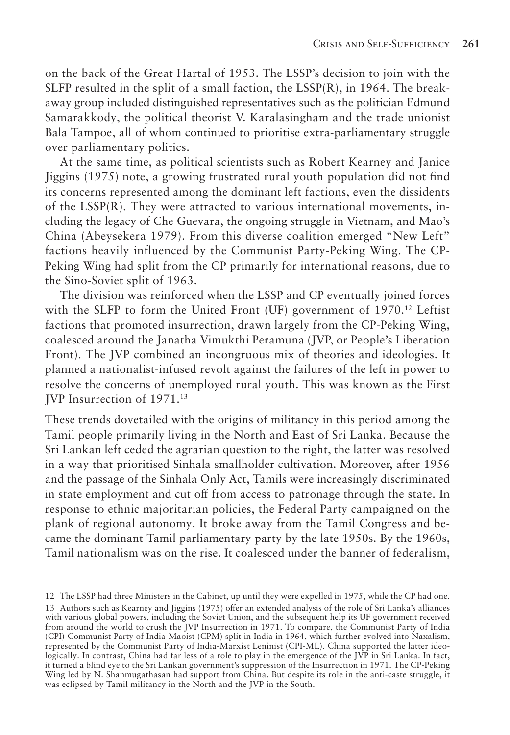on the back of the Great Hartal of 1953. The LSSP's decision to join with the SLFP resulted in the split of a small faction, the  $LSSP(R)$ , in 1964. The breakaway group included distinguished representatives such as the politician Edmund Samarakkody, the political theorist V. Karalasingham and the trade unionist Bala Tampoe, all of whom continued to prioritise extra-parliamentary struggle over parliamentary politics.

At the same time, as political scientists such as Robert Kearney and Janice Jiggins (1975) note, a growing frustrated rural youth population did not find its concerns represented among the dominant left factions, even the dissidents of the LSSP(R). They were attracted to various international movements, including the legacy of Che Guevara, the ongoing struggle in Vietnam, and Mao's China (Abeysekera 1979). From this diverse coalition emerged "New Left" factions heavily influenced by the Communist Party-Peking Wing. The CP-Peking Wing had split from the CP primarily for international reasons, due to the Sino-Soviet split of 1963.

The division was reinforced when the LSSP and CP eventually joined forces with the SLFP to form the United Front (UF) government of  $1970<sup>12</sup>$  Leftist factions that promoted insurrection, drawn largely from the CP-Peking Wing, coalesced around the Janatha Vimukthi Peramuna (JVP, or People's Liberation Front). The JVP combined an incongruous mix of theories and ideologies. It planned a nationalist-infused revolt against the failures of the left in power to resolve the concerns of unemployed rural youth. This was known as the First JVP Insurrection of 1971.13

These trends dovetailed with the origins of militancy in this period among the Tamil people primarily living in the North and East of Sri Lanka. Because the Sri Lankan left ceded the agrarian question to the right, the latter was resolved in a way that prioritised Sinhala smallholder cultivation. Moreover, after 1956 and the passage of the Sinhala Only Act, Tamils were increasingly discriminated in state employment and cut off from access to patronage through the state. In response to ethnic majoritarian policies, the Federal Party campaigned on the plank of regional autonomy. It broke away from the Tamil Congress and became the dominant Tamil parliamentary party by the late 1950s. By the 1960s, Tamil nationalism was on the rise. It coalesced under the banner of federalism,

<sup>12</sup> The LSSP had three Ministers in the Cabinet, up until they were expelled in 1975, while the CP had one. 13 Authors such as Kearney and Jiggins (1975) offer an extended analysis of the role of Sri Lanka's alliances with various global powers, including the Soviet Union, and the subsequent help its UF government received from around the world to crush the JVP Insurrection in 1971. To compare, the Communist Party of India (CPI)-Communist Party of India-Maoist (CPM) split in India in 1964, which further evolved into Naxalism, represented by the Communist Party of India-Marxist Leninist (CPI-ML). China supported the latter ideologically. In contrast, China had far less of a role to play in the emergence of the JVP in Sri Lanka. In fact, it turned a blind eye to the Sri Lankan government's suppression of the Insurrection in 1971. The CP-Peking Wing led by N. Shanmugathasan had support from China. But despite its role in the anti-caste struggle, it was eclipsed by Tamil militancy in the North and the JVP in the South.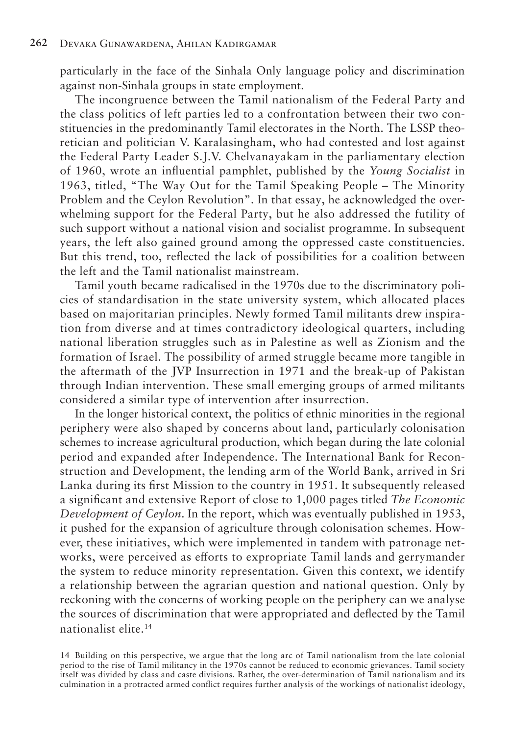particularly in the face of the Sinhala Only language policy and discrimination against non-Sinhala groups in state employment.

The incongruence between the Tamil nationalism of the Federal Party and the class politics of left parties led to a confrontation between their two constituencies in the predominantly Tamil electorates in the North. The LSSP theoretician and politician V. Karalasingham, who had contested and lost against the Federal Party Leader S.J.V. Chelvanayakam in the parliamentary election of 1960, wrote an influential pamphlet, published by the *Young Socialist* in 1963, titled, "The Way Out for the Tamil Speaking People – The Minority Problem and the Ceylon Revolution". In that essay, he acknowledged the overwhelming support for the Federal Party, but he also addressed the futility of such support without a national vision and socialist programme. In subsequent years, the left also gained ground among the oppressed caste constituencies. But this trend, too, reflected the lack of possibilities for a coalition between the left and the Tamil nationalist mainstream.

Tamil youth became radicalised in the 1970s due to the discriminatory policies of standardisation in the state university system, which allocated places based on majoritarian principles. Newly formed Tamil militants drew inspiration from diverse and at times contradictory ideological quarters, including national liberation struggles such as in Palestine as well as Zionism and the formation of Israel. The possibility of armed struggle became more tangible in the aftermath of the JVP Insurrection in 1971 and the break-up of Pakistan through Indian intervention. These small emerging groups of armed militants considered a similar type of intervention after insurrection.

In the longer historical context, the politics of ethnic minorities in the regional periphery were also shaped by concerns about land, particularly colonisation schemes to increase agricultural production, which began during the late colonial period and expanded after Independence. The International Bank for Reconstruction and Development, the lending arm of the World Bank, arrived in Sri Lanka during its first Mission to the country in 1951. It subsequently released a significant and extensive Report of close to 1,000 pages titled *The Economic Development of Ceylon*. In the report, which was eventually published in 1953, it pushed for the expansion of agriculture through colonisation schemes. However, these initiatives, which were implemented in tandem with patronage networks, were perceived as efforts to expropriate Tamil lands and gerrymander the system to reduce minority representation. Given this context, we identify a relationship between the agrarian question and national question. Only by reckoning with the concerns of working people on the periphery can we analyse the sources of discrimination that were appropriated and deflected by the Tamil nationalist elite.14

14 Building on this perspective, we argue that the long arc of Tamil nationalism from the late colonial period to the rise of Tamil militancy in the 1970s cannot be reduced to economic grievances. Tamil society itself was divided by class and caste divisions. Rather, the over-determination of Tamil nationalism and its culmination in a protracted armed conflict requires further analysis of the workings of nationalist ideology,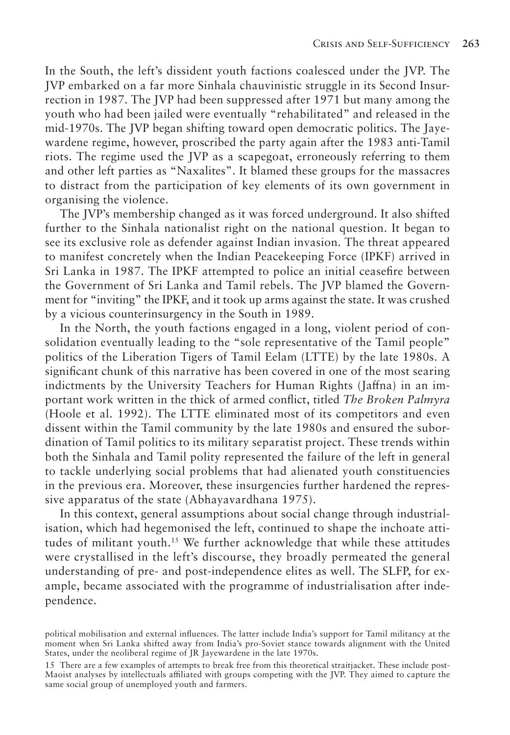In the South, the left's dissident youth factions coalesced under the JVP. The JVP embarked on a far more Sinhala chauvinistic struggle in its Second Insurrection in 1987. The JVP had been suppressed after 1971 but many among the youth who had been jailed were eventually "rehabilitated" and released in the mid-1970s. The JVP began shifting toward open democratic politics. The Jayewardene regime, however, proscribed the party again after the 1983 anti-Tamil riots. The regime used the JVP as a scapegoat, erroneously referring to them and other left parties as "Naxalites". It blamed these groups for the massacres to distract from the participation of key elements of its own government in organising the violence.

The JVP's membership changed as it was forced underground. It also shifted further to the Sinhala nationalist right on the national question. It began to see its exclusive role as defender against Indian invasion. The threat appeared to manifest concretely when the Indian Peacekeeping Force (IPKF) arrived in Sri Lanka in 1987. The IPKF attempted to police an initial ceasefire between the Government of Sri Lanka and Tamil rebels. The JVP blamed the Government for "inviting" the IPKF, and it took up arms against the state. It was crushed by a vicious counterinsurgency in the South in 1989.

In the North, the youth factions engaged in a long, violent period of consolidation eventually leading to the "sole representative of the Tamil people" politics of the Liberation Tigers of Tamil Eelam (LTTE) by the late 1980s. A significant chunk of this narrative has been covered in one of the most searing indictments by the University Teachers for Human Rights (Jaffna) in an important work written in the thick of armed conflict, titled *The Broken Palmyra*  (Hoole et al. 1992). The LTTE eliminated most of its competitors and even dissent within the Tamil community by the late 1980s and ensured the subordination of Tamil politics to its military separatist project. These trends within both the Sinhala and Tamil polity represented the failure of the left in general to tackle underlying social problems that had alienated youth constituencies in the previous era. Moreover, these insurgencies further hardened the repressive apparatus of the state (Abhayavardhana 1975).

In this context, general assumptions about social change through industrialisation, which had hegemonised the left, continued to shape the inchoate attitudes of militant youth.15 We further acknowledge that while these attitudes were crystallised in the left's discourse, they broadly permeated the general understanding of pre- and post-independence elites as well. The SLFP, for example, became associated with the programme of industrialisation after independence.

political mobilisation and external influences. The latter include India's support for Tamil militancy at the moment when Sri Lanka shifted away from India's pro-Soviet stance towards alignment with the United States, under the neoliberal regime of JR Jayewardene in the late 1970s.

<sup>15</sup> There are a few examples of attempts to break free from this theoretical straitjacket. These include post-Maoist analyses by intellectuals affiliated with groups competing with the JVP. They aimed to capture the same social group of unemployed youth and farmers.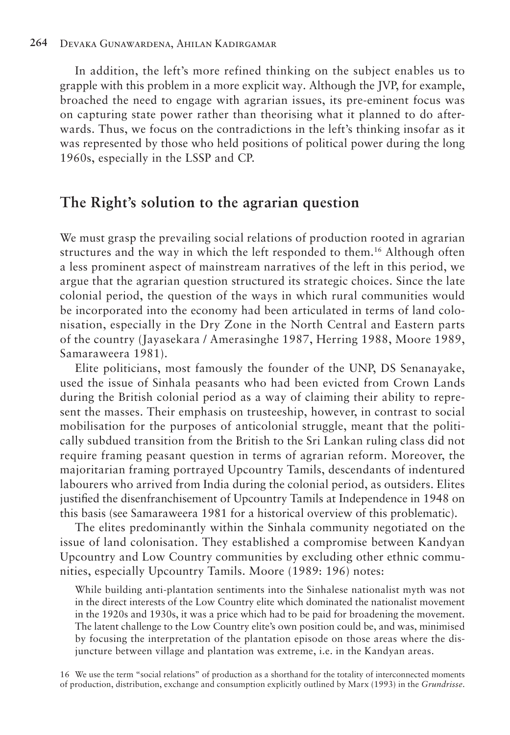In addition, the left's more refined thinking on the subject enables us to grapple with this problem in a more explicit way. Although the JVP, for example, broached the need to engage with agrarian issues, its pre-eminent focus was on capturing state power rather than theorising what it planned to do afterwards. Thus, we focus on the contradictions in the left's thinking insofar as it was represented by those who held positions of political power during the long 1960s, especially in the LSSP and CP.

### **The Right's solution to the agrarian question**

We must grasp the prevailing social relations of production rooted in agrarian structures and the way in which the left responded to them.16 Although often a less prominent aspect of mainstream narratives of the left in this period, we argue that the agrarian question structured its strategic choices. Since the late colonial period, the question of the ways in which rural communities would be incorporated into the economy had been articulated in terms of land colonisation, especially in the Dry Zone in the North Central and Eastern parts of the country (Jayasekara / Amerasinghe 1987, Herring 1988, Moore 1989, Samaraweera 1981).

Elite politicians, most famously the founder of the UNP, DS Senanayake, used the issue of Sinhala peasants who had been evicted from Crown Lands during the British colonial period as a way of claiming their ability to represent the masses. Their emphasis on trusteeship, however, in contrast to social mobilisation for the purposes of anticolonial struggle, meant that the politically subdued transition from the British to the Sri Lankan ruling class did not require framing peasant question in terms of agrarian reform. Moreover, the majoritarian framing portrayed Upcountry Tamils, descendants of indentured labourers who arrived from India during the colonial period, as outsiders. Elites justified the disenfranchisement of Upcountry Tamils at Independence in 1948 on this basis (see Samaraweera 1981 for a historical overview of this problematic).

The elites predominantly within the Sinhala community negotiated on the issue of land colonisation. They established a compromise between Kandyan Upcountry and Low Country communities by excluding other ethnic communities, especially Upcountry Tamils. Moore (1989: 196) notes:

While building anti-plantation sentiments into the Sinhalese nationalist myth was not in the direct interests of the Low Country elite which dominated the nationalist movement in the 1920s and 1930s, it was a price which had to be paid for broadening the movement. The latent challenge to the Low Country elite's own position could be, and was, minimised by focusing the interpretation of the plantation episode on those areas where the disjuncture between village and plantation was extreme, i.e. in the Kandyan areas.

16 We use the term "social relations" of production as a shorthand for the totality of interconnected moments of production, distribution, exchange and consumption explicitly outlined by Marx (1993) in the *Grundrisse*.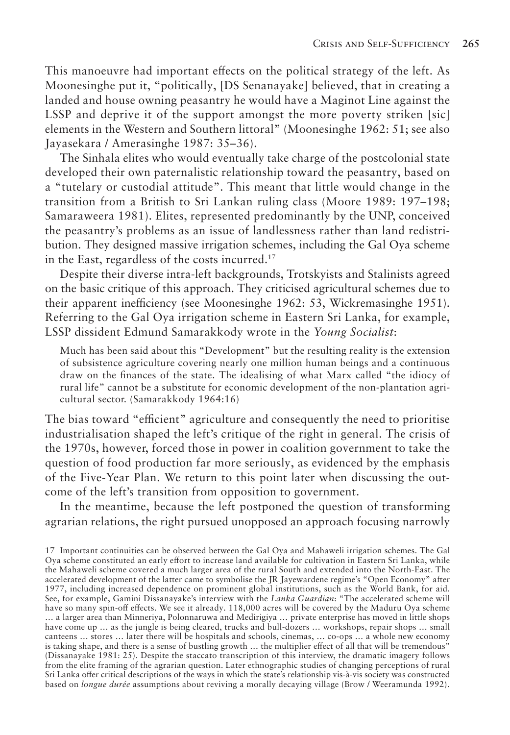This manoeuvre had important effects on the political strategy of the left. As Moonesinghe put it, "politically, [DS Senanayake] believed, that in creating a landed and house owning peasantry he would have a Maginot Line against the LSSP and deprive it of the support amongst the more poverty striken [sic] elements in the Western and Southern littoral" (Moonesinghe 1962: 51; see also Jayasekara / Amerasinghe 1987: 35–36).

The Sinhala elites who would eventually take charge of the postcolonial state developed their own paternalistic relationship toward the peasantry, based on a "tutelary or custodial attitude". This meant that little would change in the transition from a British to Sri Lankan ruling class (Moore 1989: 197–198; Samaraweera 1981). Elites, represented predominantly by the UNP, conceived the peasantry's problems as an issue of landlessness rather than land redistribution. They designed massive irrigation schemes, including the Gal Oya scheme in the East, regardless of the costs incurred.17

Despite their diverse intra-left backgrounds, Trotskyists and Stalinists agreed on the basic critique of this approach. They criticised agricultural schemes due to their apparent inefficiency (see Moonesinghe 1962: 53, Wickremasinghe 1951). Referring to the Gal Oya irrigation scheme in Eastern Sri Lanka, for example, LSSP dissident Edmund Samarakkody wrote in the *Young Socialist*:

Much has been said about this "Development" but the resulting reality is the extension of subsistence agriculture covering nearly one million human beings and a continuous draw on the finances of the state. The idealising of what Marx called "the idiocy of rural life" cannot be a substitute for economic development of the non-plantation agricultural sector. (Samarakkody 1964:16)

The bias toward "efficient" agriculture and consequently the need to prioritise industrialisation shaped the left's critique of the right in general. The crisis of the 1970s, however, forced those in power in coalition government to take the question of food production far more seriously, as evidenced by the emphasis of the Five-Year Plan. We return to this point later when discussing the outcome of the left's transition from opposition to government.

In the meantime, because the left postponed the question of transforming agrarian relations, the right pursued unopposed an approach focusing narrowly

<sup>17</sup> Important continuities can be observed between the Gal Oya and Mahaweli irrigation schemes. The Gal Oya scheme constituted an early effort to increase land available for cultivation in Eastern Sri Lanka, while the Mahaweli scheme covered a much larger area of the rural South and extended into the North-East. The accelerated development of the latter came to symbolise the JR Jayewardene regime's "Open Economy" after 1977, including increased dependence on prominent global institutions, such as the World Bank, for aid. See, for example, Gamini Dissanayake's interview with the *Lanka Guardian*: "The accelerated scheme will have so many spin-off effects. We see it already. 118,000 acres will be covered by the Maduru Oya scheme … a larger area than Minneriya, Polonnaruwa and Medirigiya … private enterprise has moved in little shops have come up … as the jungle is being cleared, trucks and bull-dozers … workshops, repair shops … small canteens … stores … later there will be hospitals and schools, cinemas, … co-ops … a whole new economy is taking shape, and there is a sense of bustling growth … the multiplier effect of all that will be tremendous" (Dissanayake 1981: 25). Despite the staccato transcription of this interview, the dramatic imagery follows from the elite framing of the agrarian question. Later ethnographic studies of changing perceptions of rural Sri Lanka offer critical descriptions of the ways in which the state's relationship vis-à-vis society was constructed based on *longue durée* assumptions about reviving a morally decaying village (Brow / Weeramunda 1992).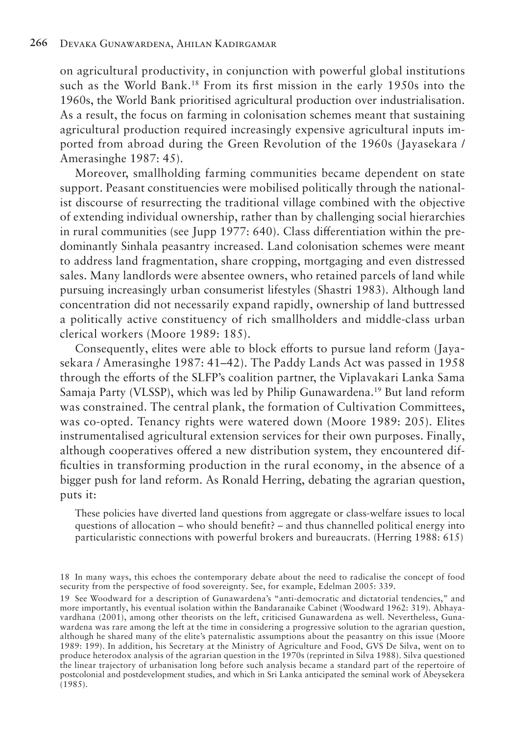on agricultural productivity, in conjunction with powerful global institutions such as the World Bank.<sup>18</sup> From its first mission in the early 1950s into the 1960s, the World Bank prioritised agricultural production over industrialisation. As a result, the focus on farming in colonisation schemes meant that sustaining agricultural production required increasingly expensive agricultural inputs imported from abroad during the Green Revolution of the 1960s (Jayasekara / Amerasinghe 1987: 45).

Moreover, smallholding farming communities became dependent on state support. Peasant constituencies were mobilised politically through the nationalist discourse of resurrecting the traditional village combined with the objective of extending individual ownership, rather than by challenging social hierarchies in rural communities (see Jupp 1977: 640). Class differentiation within the predominantly Sinhala peasantry increased. Land colonisation schemes were meant to address land fragmentation, share cropping, mortgaging and even distressed sales. Many landlords were absentee owners, who retained parcels of land while pursuing increasingly urban consumerist lifestyles (Shastri 1983). Although land concentration did not necessarily expand rapidly, ownership of land buttressed a politically active constituency of rich smallholders and middle-class urban clerical workers (Moore 1989: 185).

Consequently, elites were able to block efforts to pursue land reform (Jayasekara / Amerasinghe 1987: 41–42). The Paddy Lands Act was passed in 1958 through the efforts of the SLFP's coalition partner, the Viplavakari Lanka Sama Samaja Party (VLSSP), which was led by Philip Gunawardena.19 But land reform was constrained. The central plank, the formation of Cultivation Committees, was co-opted. Tenancy rights were watered down (Moore 1989: 205). Elites instrumentalised agricultural extension services for their own purposes. Finally, although cooperatives offered a new distribution system, they encountered difficulties in transforming production in the rural economy, in the absence of a bigger push for land reform. As Ronald Herring, debating the agrarian question, puts it:

These policies have diverted land questions from aggregate or class-welfare issues to local questions of allocation – who should benefit? – and thus channelled political energy into particularistic connections with powerful brokers and bureaucrats. (Herring 1988: 615)

19 See Woodward for a description of Gunawardena's "anti-democratic and dictatorial tendencies," and more importantly, his eventual isolation within the Bandaranaike Cabinet (Woodward 1962: 319). Abhayavardhana (2001), among other theorists on the left, criticised Gunawardena as well. Nevertheless, Gunawardena was rare among the left at the time in considering a progressive solution to the agrarian question, although he shared many of the elite's paternalistic assumptions about the peasantry on this issue (Moore 1989: 199). In addition, his Secretary at the Ministry of Agriculture and Food, GVS De Silva, went on to produce heterodox analysis of the agrarian question in the 1970s (reprinted in Silva 1988). Silva questioned the linear trajectory of urbanisation long before such analysis became a standard part of the repertoire of postcolonial and postdevelopment studies, and which in Sri Lanka anticipated the seminal work of Abeysekera (1985).

<sup>18</sup> In many ways, this echoes the contemporary debate about the need to radicalise the concept of food security from the perspective of food sovereignty. See, for example, Edelman 2005: 339.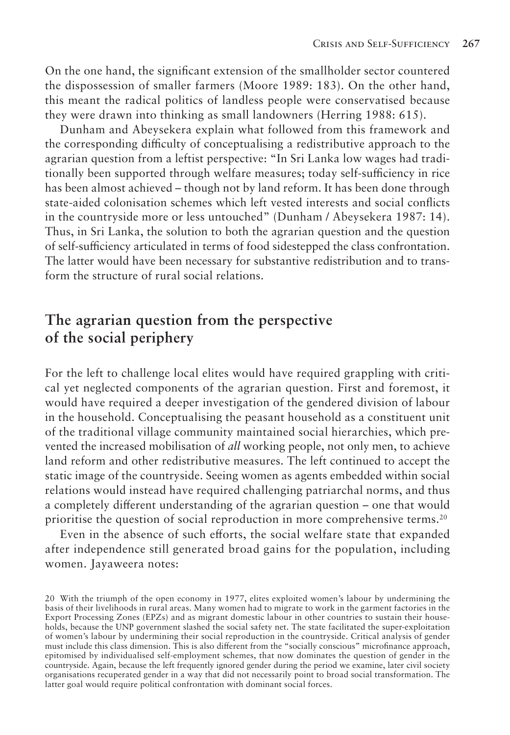On the one hand, the significant extension of the smallholder sector countered the dispossession of smaller farmers (Moore 1989: 183). On the other hand, this meant the radical politics of landless people were conservatised because they were drawn into thinking as small landowners (Herring 1988: 615).

Dunham and Abeysekera explain what followed from this framework and the corresponding difficulty of conceptualising a redistributive approach to the agrarian question from a leftist perspective: "In Sri Lanka low wages had traditionally been supported through welfare measures; today self-sufficiency in rice has been almost achieved – though not by land reform. It has been done through state-aided colonisation schemes which left vested interests and social conflicts in the countryside more or less untouched" (Dunham / Abeysekera 1987: 14). Thus, in Sri Lanka, the solution to both the agrarian question and the question of self-sufficiency articulated in terms of food sidestepped the class confrontation. The latter would have been necessary for substantive redistribution and to transform the structure of rural social relations.

# **The agrarian question from the perspective of the social periphery**

For the left to challenge local elites would have required grappling with critical yet neglected components of the agrarian question. First and foremost, it would have required a deeper investigation of the gendered division of labour in the household. Conceptualising the peasant household as a constituent unit of the traditional village community maintained social hierarchies, which prevented the increased mobilisation of *all* working people, not only men, to achieve land reform and other redistributive measures. The left continued to accept the static image of the countryside. Seeing women as agents embedded within social relations would instead have required challenging patriarchal norms, and thus a completely different understanding of the agrarian question – one that would prioritise the question of social reproduction in more comprehensive terms.20

Even in the absence of such efforts, the social welfare state that expanded after independence still generated broad gains for the population, including women. Jayaweera notes:

<sup>20</sup> With the triumph of the open economy in 1977, elites exploited women's labour by undermining the basis of their livelihoods in rural areas. Many women had to migrate to work in the garment factories in the Export Processing Zones (EPZs) and as migrant domestic labour in other countries to sustain their households, because the UNP government slashed the social safety net. The state facilitated the super-exploitation of women's labour by undermining their social reproduction in the countryside. Critical analysis of gender must include this class dimension. This is also different from the "socially conscious" microfinance approach, epitomised by individualised self-employment schemes, that now dominates the question of gender in the countryside. Again, because the left frequently ignored gender during the period we examine, later civil society organisations recuperated gender in a way that did not necessarily point to broad social transformation. The latter goal would require political confrontation with dominant social forces.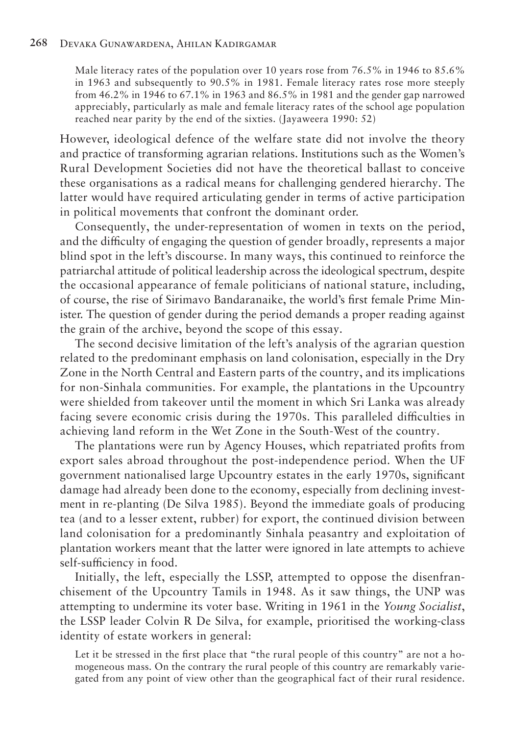Male literacy rates of the population over 10 years rose from 76.5% in 1946 to 85.6% in 1963 and subsequently to 90.5% in 1981. Female literacy rates rose more steeply from 46.2% in 1946 to 67.1% in 1963 and 86.5% in 1981 and the gender gap narrowed appreciably, particularly as male and female literacy rates of the school age population reached near parity by the end of the sixties. (Jayaweera 1990: 52)

However, ideological defence of the welfare state did not involve the theory and practice of transforming agrarian relations. Institutions such as the Women's Rural Development Societies did not have the theoretical ballast to conceive these organisations as a radical means for challenging gendered hierarchy. The latter would have required articulating gender in terms of active participation in political movements that confront the dominant order.

Consequently, the under-representation of women in texts on the period, and the difficulty of engaging the question of gender broadly, represents a major blind spot in the left's discourse. In many ways, this continued to reinforce the patriarchal attitude of political leadership across the ideological spectrum, despite the occasional appearance of female politicians of national stature, including, of course, the rise of Sirimavo Bandaranaike, the world's first female Prime Minister. The question of gender during the period demands a proper reading against the grain of the archive, beyond the scope of this essay.

The second decisive limitation of the left's analysis of the agrarian question related to the predominant emphasis on land colonisation, especially in the Dry Zone in the North Central and Eastern parts of the country, and its implications for non-Sinhala communities. For example, the plantations in the Upcountry were shielded from takeover until the moment in which Sri Lanka was already facing severe economic crisis during the 1970s. This paralleled difficulties in achieving land reform in the Wet Zone in the South-West of the country.

The plantations were run by Agency Houses, which repatriated profits from export sales abroad throughout the post-independence period. When the UF government nationalised large Upcountry estates in the early 1970s, significant damage had already been done to the economy, especially from declining investment in re-planting (De Silva 1985). Beyond the immediate goals of producing tea (and to a lesser extent, rubber) for export, the continued division between land colonisation for a predominantly Sinhala peasantry and exploitation of plantation workers meant that the latter were ignored in late attempts to achieve self-sufficiency in food.

Initially, the left, especially the LSSP, attempted to oppose the disenfranchisement of the Upcountry Tamils in 1948. As it saw things, the UNP was attempting to undermine its voter base. Writing in 1961 in the *Young Socialist*, the LSSP leader Colvin R De Silva, for example, prioritised the working-class identity of estate workers in general:

Let it be stressed in the first place that "the rural people of this country" are not a homogeneous mass. On the contrary the rural people of this country are remarkably variegated from any point of view other than the geographical fact of their rural residence.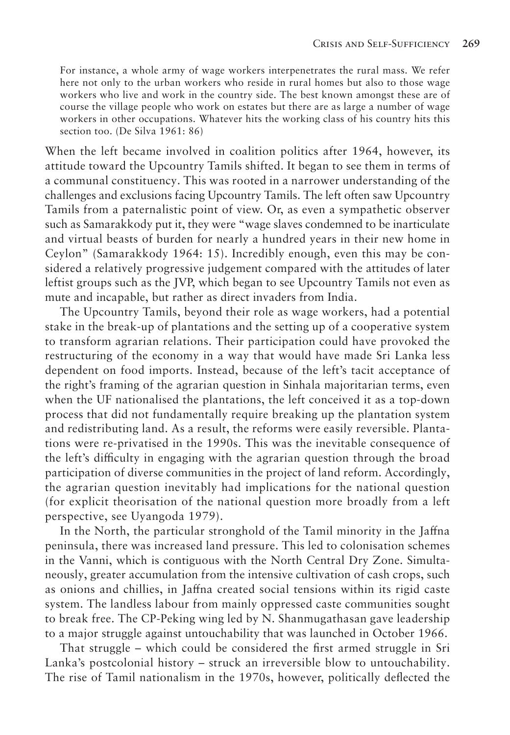For instance, a whole army of wage workers interpenetrates the rural mass. We refer here not only to the urban workers who reside in rural homes but also to those wage workers who live and work in the country side. The best known amongst these are of course the village people who work on estates but there are as large a number of wage workers in other occupations. Whatever hits the working class of his country hits this section too. (De Silva 1961: 86)

When the left became involved in coalition politics after 1964, however, its attitude toward the Upcountry Tamils shifted. It began to see them in terms of a communal constituency. This was rooted in a narrower understanding of the challenges and exclusions facing Upcountry Tamils. The left often saw Upcountry Tamils from a paternalistic point of view. Or, as even a sympathetic observer such as Samarakkody put it, they were "wage slaves condemned to be inarticulate and virtual beasts of burden for nearly a hundred years in their new home in Ceylon" (Samarakkody 1964: 15). Incredibly enough, even this may be considered a relatively progressive judgement compared with the attitudes of later leftist groups such as the JVP, which began to see Upcountry Tamils not even as mute and incapable, but rather as direct invaders from India.

The Upcountry Tamils, beyond their role as wage workers, had a potential stake in the break-up of plantations and the setting up of a cooperative system to transform agrarian relations. Their participation could have provoked the restructuring of the economy in a way that would have made Sri Lanka less dependent on food imports. Instead, because of the left's tacit acceptance of the right's framing of the agrarian question in Sinhala majoritarian terms, even when the UF nationalised the plantations, the left conceived it as a top-down process that did not fundamentally require breaking up the plantation system and redistributing land. As a result, the reforms were easily reversible. Plantations were re-privatised in the 1990s. This was the inevitable consequence of the left's difficulty in engaging with the agrarian question through the broad participation of diverse communities in the project of land reform. Accordingly, the agrarian question inevitably had implications for the national question (for explicit theorisation of the national question more broadly from a left perspective, see Uyangoda 1979).

In the North, the particular stronghold of the Tamil minority in the Jaffna peninsula, there was increased land pressure. This led to colonisation schemes in the Vanni, which is contiguous with the North Central Dry Zone. Simultaneously, greater accumulation from the intensive cultivation of cash crops, such as onions and chillies, in Jaffna created social tensions within its rigid caste system. The landless labour from mainly oppressed caste communities sought to break free. The CP-Peking wing led by N. Shanmugathasan gave leadership to a major struggle against untouchability that was launched in October 1966.

That struggle – which could be considered the first armed struggle in Sri Lanka's postcolonial history – struck an irreversible blow to untouchability. The rise of Tamil nationalism in the 1970s, however, politically deflected the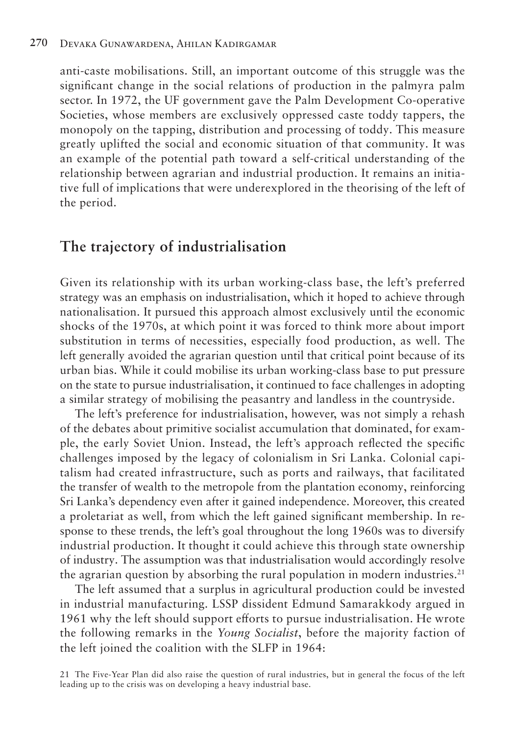anti-caste mobilisations. Still, an important outcome of this struggle was the significant change in the social relations of production in the palmyra palm sector. In 1972, the UF government gave the Palm Development Co-operative Societies, whose members are exclusively oppressed caste toddy tappers, the monopoly on the tapping, distribution and processing of toddy. This measure greatly uplifted the social and economic situation of that community. It was an example of the potential path toward a self-critical understanding of the relationship between agrarian and industrial production. It remains an initiative full of implications that were underexplored in the theorising of the left of the period.

### **The trajectory of industrialisation**

Given its relationship with its urban working-class base, the left's preferred strategy was an emphasis on industrialisation, which it hoped to achieve through nationalisation. It pursued this approach almost exclusively until the economic shocks of the 1970s, at which point it was forced to think more about import substitution in terms of necessities, especially food production, as well. The left generally avoided the agrarian question until that critical point because of its urban bias. While it could mobilise its urban working-class base to put pressure on the state to pursue industrialisation, it continued to face challenges in adopting a similar strategy of mobilising the peasantry and landless in the countryside.

The left's preference for industrialisation, however, was not simply a rehash of the debates about primitive socialist accumulation that dominated, for example, the early Soviet Union. Instead, the left's approach reflected the specific challenges imposed by the legacy of colonialism in Sri Lanka. Colonial capitalism had created infrastructure, such as ports and railways, that facilitated the transfer of wealth to the metropole from the plantation economy, reinforcing Sri Lanka's dependency even after it gained independence. Moreover, this created a proletariat as well, from which the left gained significant membership. In response to these trends, the left's goal throughout the long 1960s was to diversify industrial production. It thought it could achieve this through state ownership of industry. The assumption was that industrialisation would accordingly resolve the agrarian question by absorbing the rural population in modern industries.<sup>21</sup>

The left assumed that a surplus in agricultural production could be invested in industrial manufacturing. LSSP dissident Edmund Samarakkody argued in 1961 why the left should support efforts to pursue industrialisation. He wrote the following remarks in the *Young Socialist*, before the majority faction of the left joined the coalition with the SLFP in 1964:

21 The Five-Year Plan did also raise the question of rural industries, but in general the focus of the left leading up to the crisis was on developing a heavy industrial base.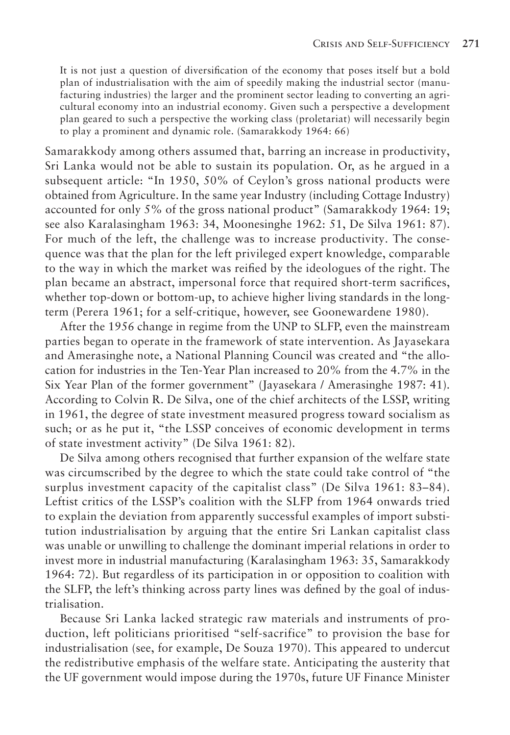It is not just a question of diversification of the economy that poses itself but a bold plan of industrialisation with the aim of speedily making the industrial sector (manufacturing industries) the larger and the prominent sector leading to converting an agricultural economy into an industrial economy. Given such a perspective a development plan geared to such a perspective the working class (proletariat) will necessarily begin to play a prominent and dynamic role. (Samarakkody 1964: 66)

Samarakkody among others assumed that, barring an increase in productivity, Sri Lanka would not be able to sustain its population. Or, as he argued in a subsequent article: "In 1950, 50% of Ceylon's gross national products were obtained from Agriculture. In the same year Industry (including Cottage Industry) accounted for only 5% of the gross national product" (Samarakkody 1964: 19; see also Karalasingham 1963: 34, Moonesinghe 1962: 51, De Silva 1961: 87). For much of the left, the challenge was to increase productivity. The consequence was that the plan for the left privileged expert knowledge, comparable to the way in which the market was reified by the ideologues of the right. The plan became an abstract, impersonal force that required short-term sacrifices, whether top-down or bottom-up, to achieve higher living standards in the longterm (Perera 1961; for a self-critique, however, see Goonewardene 1980).

After the 1956 change in regime from the UNP to SLFP, even the mainstream parties began to operate in the framework of state intervention. As Jayasekara and Amerasinghe note, a National Planning Council was created and "the allocation for industries in the Ten-Year Plan increased to 20% from the 4.7% in the Six Year Plan of the former government" (Jayasekara / Amerasinghe 1987: 41). According to Colvin R. De Silva, one of the chief architects of the LSSP, writing in 1961, the degree of state investment measured progress toward socialism as such; or as he put it, "the LSSP conceives of economic development in terms of state investment activity" (De Silva 1961: 82).

De Silva among others recognised that further expansion of the welfare state was circumscribed by the degree to which the state could take control of "the surplus investment capacity of the capitalist class" (De Silva 1961: 83–84). Leftist critics of the LSSP's coalition with the SLFP from 1964 onwards tried to explain the deviation from apparently successful examples of import substitution industrialisation by arguing that the entire Sri Lankan capitalist class was unable or unwilling to challenge the dominant imperial relations in order to invest more in industrial manufacturing (Karalasingham 1963: 35, Samarakkody 1964: 72). But regardless of its participation in or opposition to coalition with the SLFP, the left's thinking across party lines was defined by the goal of industrialisation.

Because Sri Lanka lacked strategic raw materials and instruments of production, left politicians prioritised "self-sacrifice" to provision the base for industrialisation (see, for example, De Souza 1970). This appeared to undercut the redistributive emphasis of the welfare state. Anticipating the austerity that the UF government would impose during the 1970s, future UF Finance Minister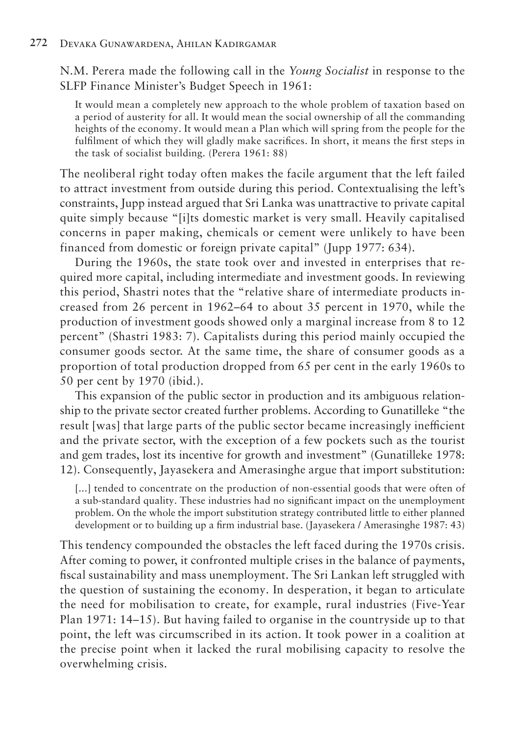N.M. Perera made the following call in the *Young Socialist* in response to the SLFP Finance Minister's Budget Speech in 1961:

It would mean a completely new approach to the whole problem of taxation based on a period of austerity for all. It would mean the social ownership of all the commanding heights of the economy. It would mean a Plan which will spring from the people for the fulfilment of which they will gladly make sacrifices. In short, it means the first steps in the task of socialist building. (Perera 1961: 88)

The neoliberal right today often makes the facile argument that the left failed to attract investment from outside during this period. Contextualising the left's constraints, Jupp instead argued that Sri Lanka was unattractive to private capital quite simply because "[i]ts domestic market is very small. Heavily capitalised concerns in paper making, chemicals or cement were unlikely to have been financed from domestic or foreign private capital" (Jupp 1977: 634).

During the 1960s, the state took over and invested in enterprises that required more capital, including intermediate and investment goods. In reviewing this period, Shastri notes that the "relative share of intermediate products increased from 26 percent in 1962–64 to about 35 percent in 1970, while the production of investment goods showed only a marginal increase from 8 to 12 percent" (Shastri 1983: 7). Capitalists during this period mainly occupied the consumer goods sector. At the same time, the share of consumer goods as a proportion of total production dropped from 65 per cent in the early 1960s to 50 per cent by 1970 (ibid.).

This expansion of the public sector in production and its ambiguous relationship to the private sector created further problems. According to Gunatilleke "the result [was] that large parts of the public sector became increasingly inefficient and the private sector, with the exception of a few pockets such as the tourist and gem trades, lost its incentive for growth and investment" (Gunatilleke 1978: 12). Consequently, Jayasekera and Amerasinghe argue that import substitution:

[...] tended to concentrate on the production of non-essential goods that were often of a sub-standard quality. These industries had no significant impact on the unemployment problem. On the whole the import substitution strategy contributed little to either planned development or to building up a firm industrial base. (Jayasekera / Amerasinghe 1987: 43)

This tendency compounded the obstacles the left faced during the 1970s crisis. After coming to power, it confronted multiple crises in the balance of payments, fiscal sustainability and mass unemployment. The Sri Lankan left struggled with the question of sustaining the economy. In desperation, it began to articulate the need for mobilisation to create, for example, rural industries (Five-Year Plan 1971: 14–15). But having failed to organise in the countryside up to that point, the left was circumscribed in its action. It took power in a coalition at the precise point when it lacked the rural mobilising capacity to resolve the overwhelming crisis.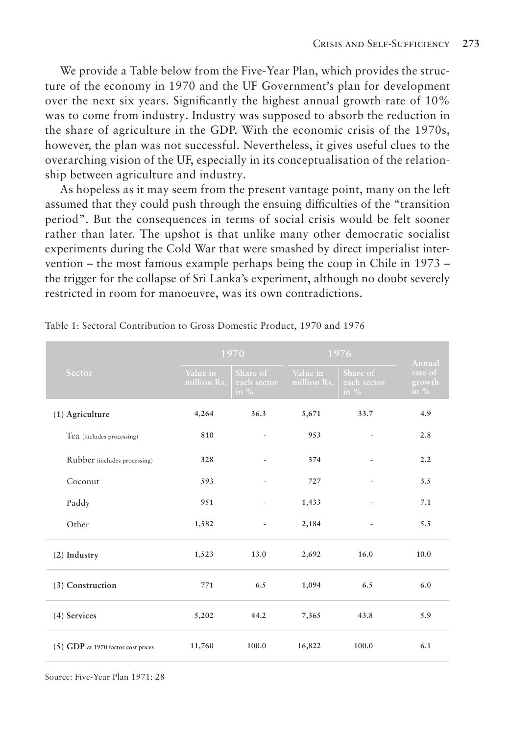We provide a Table below from the Five-Year Plan, which provides the structure of the economy in 1970 and the UF Government's plan for development over the next six years. Significantly the highest annual growth rate of 10% was to come from industry. Industry was supposed to absorb the reduction in the share of agriculture in the GDP. With the economic crisis of the 1970s, however, the plan was not successful. Nevertheless, it gives useful clues to the overarching vision of the UF, especially in its conceptualisation of the relationship between agriculture and industry.

As hopeless as it may seem from the present vantage point, many on the left assumed that they could push through the ensuing difficulties of the "transition period". But the consequences in terms of social crisis would be felt sooner rather than later. The upshot is that unlike many other democratic socialist experiments during the Cold War that were smashed by direct imperialist intervention – the most famous example perhaps being the coup in Chile in 1973 – the trigger for the collapse of Sri Lanka's experiment, although no doubt severely restricted in room for manoeuvre, was its own contradictions.

| Sector                             | 1970                    |                                    | 1976                    |                                   | Annual                      |
|------------------------------------|-------------------------|------------------------------------|-------------------------|-----------------------------------|-----------------------------|
|                                    | Value in<br>million Rs. | Share of<br>each sector<br>in $\%$ | Value in<br>million Rs. | Share of<br>each sector<br>in $%$ | rate of<br>growth<br>in $%$ |
| (1) Agriculture                    | 4,264                   | 36.3                               | 5,671                   | 33.7                              | 4.9                         |
| Tea (includes processing)          | 810                     |                                    | 953                     |                                   | 2.8                         |
| Rubber (includes processing)       | 328                     |                                    | 374                     |                                   | 2.2                         |
| Coconut                            | 593                     |                                    | 727                     |                                   | 3.5                         |
| Paddy                              | 951                     |                                    | 1,433                   |                                   | 7.1                         |
| Other                              | 1,582                   |                                    | 2,184                   |                                   | 5.5                         |
| $(2)$ Industry                     | 1,523                   | 13.0                               | 2,692                   | 16.0                              | 10.0                        |
| (3) Construction                   | 771                     | 6.5                                | 1,094                   | 6.5                               | 6.0                         |
| (4) Services                       | 5,202                   | 44.2                               | 7,365                   | 43.8                              | 5.9                         |
| (5) GDP at 1970 factor cost prices | 11,760                  | 100.0                              | 16,822                  | 100.0                             | 6.1                         |

Table 1: Sectoral Contribution to Gross Domestic Product, 1970 and 1976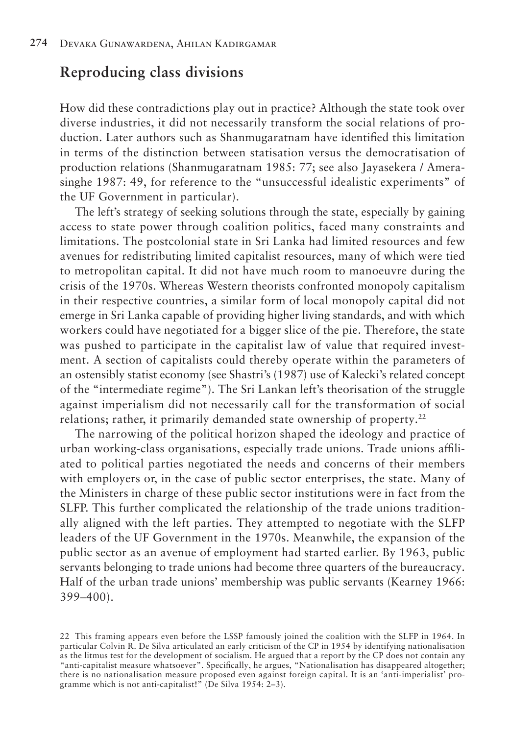#### **Reproducing class divisions**

How did these contradictions play out in practice? Although the state took over diverse industries, it did not necessarily transform the social relations of production. Later authors such as Shanmugaratnam have identified this limitation in terms of the distinction between statisation versus the democratisation of production relations (Shanmugaratnam 1985: 77; see also Jayasekera / Amerasinghe 1987: 49, for reference to the "unsuccessful idealistic experiments" of the UF Government in particular).

The left's strategy of seeking solutions through the state, especially by gaining access to state power through coalition politics, faced many constraints and limitations. The postcolonial state in Sri Lanka had limited resources and few avenues for redistributing limited capitalist resources, many of which were tied to metropolitan capital. It did not have much room to manoeuvre during the crisis of the 1970s. Whereas Western theorists confronted monopoly capitalism in their respective countries, a similar form of local monopoly capital did not emerge in Sri Lanka capable of providing higher living standards, and with which workers could have negotiated for a bigger slice of the pie. Therefore, the state was pushed to participate in the capitalist law of value that required investment. A section of capitalists could thereby operate within the parameters of an ostensibly statist economy (see Shastri's (1987) use of Kalecki's related concept of the "intermediate regime"). The Sri Lankan left's theorisation of the struggle against imperialism did not necessarily call for the transformation of social relations; rather, it primarily demanded state ownership of property.<sup>22</sup>

The narrowing of the political horizon shaped the ideology and practice of urban working-class organisations, especially trade unions. Trade unions affiliated to political parties negotiated the needs and concerns of their members with employers or, in the case of public sector enterprises, the state. Many of the Ministers in charge of these public sector institutions were in fact from the SLFP. This further complicated the relationship of the trade unions traditionally aligned with the left parties. They attempted to negotiate with the SLFP leaders of the UF Government in the 1970s. Meanwhile, the expansion of the public sector as an avenue of employment had started earlier. By 1963, public servants belonging to trade unions had become three quarters of the bureaucracy. Half of the urban trade unions' membership was public servants (Kearney 1966: 399–400).

<sup>22</sup> This framing appears even before the LSSP famously joined the coalition with the SLFP in 1964. In particular Colvin R. De Silva articulated an early criticism of the CP in 1954 by identifying nationalisation as the litmus test for the development of socialism. He argued that a report by the CP does not contain any "anti-capitalist measure whatsoever". Specifically, he argues, "Nationalisation has disappeared altogether; there is no nationalisation measure proposed even against foreign capital. It is an 'anti-imperialist' programme which is not anti-capitalist!" (De Silva 1954: 2–3).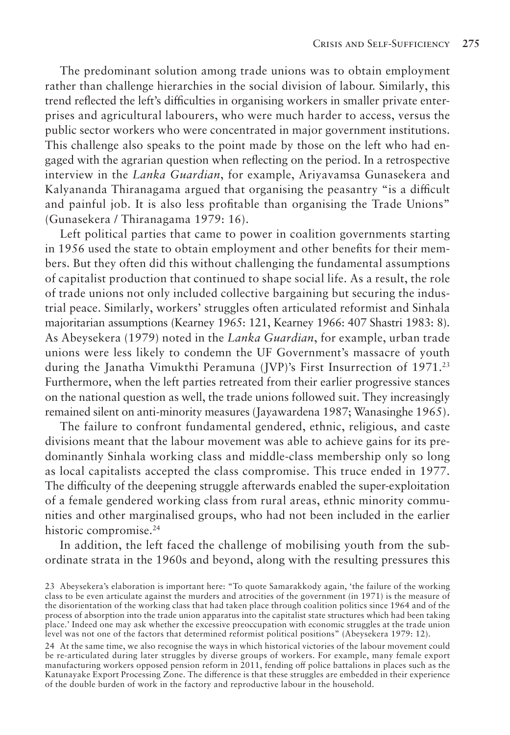The predominant solution among trade unions was to obtain employment rather than challenge hierarchies in the social division of labour. Similarly, this trend reflected the left's difficulties in organising workers in smaller private enterprises and agricultural labourers, who were much harder to access, versus the public sector workers who were concentrated in major government institutions. This challenge also speaks to the point made by those on the left who had engaged with the agrarian question when reflecting on the period. In a retrospective interview in the *Lanka Guardian*, for example, Ariyavamsa Gunasekera and Kalyananda Thiranagama argued that organising the peasantry "is a difficult and painful job. It is also less profitable than organising the Trade Unions" (Gunasekera / Thiranagama 1979: 16).

Left political parties that came to power in coalition governments starting in 1956 used the state to obtain employment and other benefits for their members. But they often did this without challenging the fundamental assumptions of capitalist production that continued to shape social life. As a result, the role of trade unions not only included collective bargaining but securing the industrial peace. Similarly, workers' struggles often articulated reformist and Sinhala majoritarian assumptions (Kearney 1965: 121, Kearney 1966: 407 Shastri 1983: 8). As Abeysekera (1979) noted in the *Lanka Guardian*, for example, urban trade unions were less likely to condemn the UF Government's massacre of youth during the Janatha Vimukthi Peramuna (JVP)'s First Insurrection of 1971.23 Furthermore, when the left parties retreated from their earlier progressive stances on the national question as well, the trade unions followed suit. They increasingly remained silent on anti-minority measures (Jayawardena 1987; Wanasinghe 1965).

The failure to confront fundamental gendered, ethnic, religious, and caste divisions meant that the labour movement was able to achieve gains for its predominantly Sinhala working class and middle-class membership only so long as local capitalists accepted the class compromise. This truce ended in 1977. The difficulty of the deepening struggle afterwards enabled the super-exploitation of a female gendered working class from rural areas, ethnic minority communities and other marginalised groups, who had not been included in the earlier historic compromise.<sup>24</sup>

In addition, the left faced the challenge of mobilising youth from the subordinate strata in the 1960s and beyond, along with the resulting pressures this

<sup>23</sup> Abeysekera's elaboration is important here: "To quote Samarakkody again, 'the failure of the working class to be even articulate against the murders and atrocities of the government (in 1971) is the measure of the disorientation of the working class that had taken place through coalition politics since 1964 and of the process of absorption into the trade union apparatus into the capitalist state structures which had been taking place.' Indeed one may ask whether the excessive preoccupation with economic struggles at the trade union level was not one of the factors that determined reformist political positions" (Abeysekera 1979: 12).

<sup>24</sup> At the same time, we also recognise the ways in which historical victories of the labour movement could be re-articulated during later struggles by diverse groups of workers. For example, many female export manufacturing workers opposed pension reform in 2011, fending off police battalions in places such as the Katunayake Export Processing Zone. The difference is that these struggles are embedded in their experience of the double burden of work in the factory and reproductive labour in the household.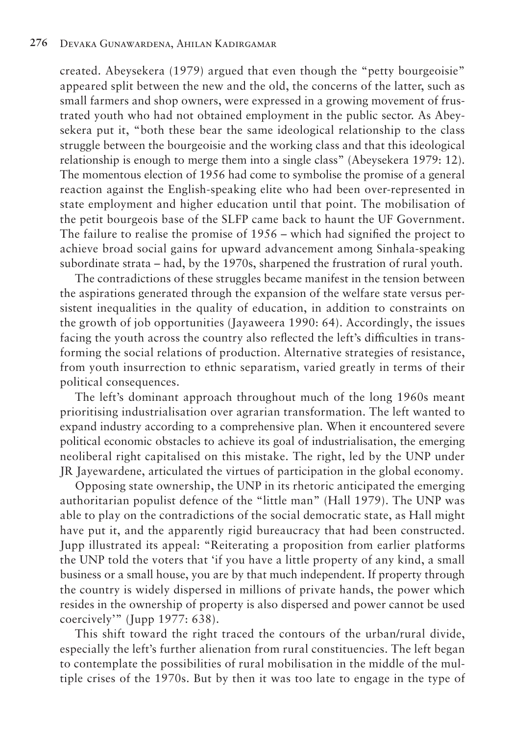created. Abeysekera (1979) argued that even though the "petty bourgeoisie" appeared split between the new and the old, the concerns of the latter, such as small farmers and shop owners, were expressed in a growing movement of frustrated youth who had not obtained employment in the public sector. As Abeysekera put it, "both these bear the same ideological relationship to the class struggle between the bourgeoisie and the working class and that this ideological relationship is enough to merge them into a single class" (Abeysekera 1979: 12). The momentous election of 1956 had come to symbolise the promise of a general reaction against the English-speaking elite who had been over-represented in state employment and higher education until that point. The mobilisation of the petit bourgeois base of the SLFP came back to haunt the UF Government. The failure to realise the promise of 1956 – which had signified the project to achieve broad social gains for upward advancement among Sinhala-speaking subordinate strata – had, by the 1970s, sharpened the frustration of rural youth.

The contradictions of these struggles became manifest in the tension between the aspirations generated through the expansion of the welfare state versus persistent inequalities in the quality of education, in addition to constraints on the growth of job opportunities (Jayaweera 1990: 64). Accordingly, the issues facing the youth across the country also reflected the left's difficulties in transforming the social relations of production. Alternative strategies of resistance, from youth insurrection to ethnic separatism, varied greatly in terms of their political consequences.

The left's dominant approach throughout much of the long 1960s meant prioritising industrialisation over agrarian transformation. The left wanted to expand industry according to a comprehensive plan. When it encountered severe political economic obstacles to achieve its goal of industrialisation, the emerging neoliberal right capitalised on this mistake. The right, led by the UNP under JR Jayewardene, articulated the virtues of participation in the global economy.

Opposing state ownership, the UNP in its rhetoric anticipated the emerging authoritarian populist defence of the "little man" (Hall 1979). The UNP was able to play on the contradictions of the social democratic state, as Hall might have put it, and the apparently rigid bureaucracy that had been constructed. Jupp illustrated its appeal: "Reiterating a proposition from earlier platforms the UNP told the voters that 'if you have a little property of any kind, a small business or a small house, you are by that much independent. If property through the country is widely dispersed in millions of private hands, the power which resides in the ownership of property is also dispersed and power cannot be used coercively'" (Jupp 1977: 638).

This shift toward the right traced the contours of the urban/rural divide, especially the left's further alienation from rural constituencies. The left began to contemplate the possibilities of rural mobilisation in the middle of the multiple crises of the 1970s. But by then it was too late to engage in the type of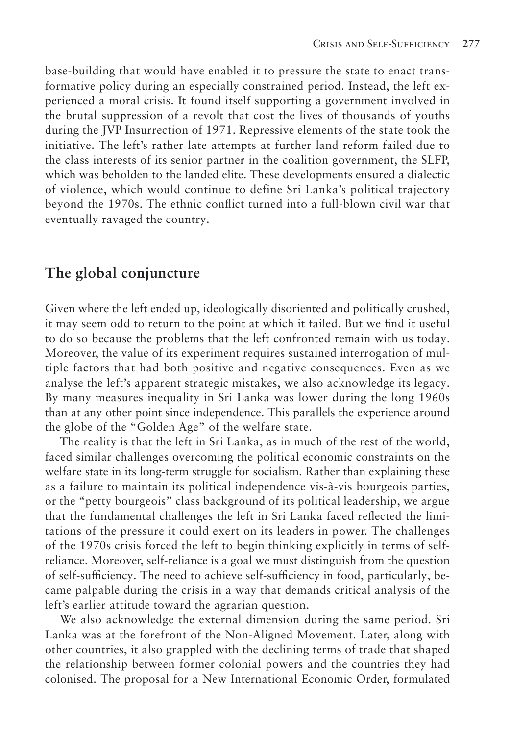base-building that would have enabled it to pressure the state to enact transformative policy during an especially constrained period. Instead, the left experienced a moral crisis. It found itself supporting a government involved in the brutal suppression of a revolt that cost the lives of thousands of youths during the JVP Insurrection of 1971. Repressive elements of the state took the initiative. The left's rather late attempts at further land reform failed due to the class interests of its senior partner in the coalition government, the SLFP, which was beholden to the landed elite. These developments ensured a dialectic of violence, which would continue to define Sri Lanka's political trajectory beyond the 1970s. The ethnic conflict turned into a full-blown civil war that eventually ravaged the country.

# **The global conjuncture**

Given where the left ended up, ideologically disoriented and politically crushed, it may seem odd to return to the point at which it failed. But we find it useful to do so because the problems that the left confronted remain with us today. Moreover, the value of its experiment requires sustained interrogation of multiple factors that had both positive and negative consequences. Even as we analyse the left's apparent strategic mistakes, we also acknowledge its legacy. By many measures inequality in Sri Lanka was lower during the long 1960s than at any other point since independence. This parallels the experience around the globe of the "Golden Age" of the welfare state.

The reality is that the left in Sri Lanka, as in much of the rest of the world, faced similar challenges overcoming the political economic constraints on the welfare state in its long-term struggle for socialism. Rather than explaining these as a failure to maintain its political independence vis-à-vis bourgeois parties, or the "petty bourgeois" class background of its political leadership, we argue that the fundamental challenges the left in Sri Lanka faced reflected the limitations of the pressure it could exert on its leaders in power. The challenges of the 1970s crisis forced the left to begin thinking explicitly in terms of selfreliance. Moreover, self-reliance is a goal we must distinguish from the question of self-sufficiency. The need to achieve self-sufficiency in food, particularly, became palpable during the crisis in a way that demands critical analysis of the left's earlier attitude toward the agrarian question.

We also acknowledge the external dimension during the same period. Sri Lanka was at the forefront of the Non-Aligned Movement. Later, along with other countries, it also grappled with the declining terms of trade that shaped the relationship between former colonial powers and the countries they had colonised. The proposal for a New International Economic Order, formulated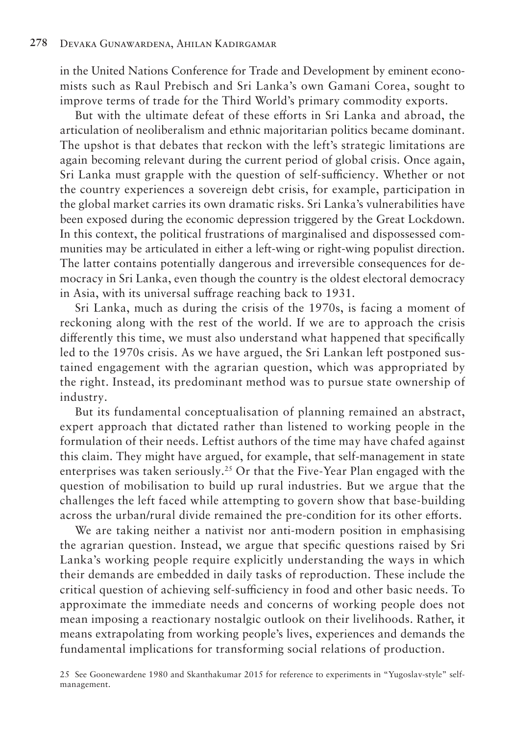in the United Nations Conference for Trade and Development by eminent economists such as Raul Prebisch and Sri Lanka's own Gamani Corea, sought to improve terms of trade for the Third World's primary commodity exports.

But with the ultimate defeat of these efforts in Sri Lanka and abroad, the articulation of neoliberalism and ethnic majoritarian politics became dominant. The upshot is that debates that reckon with the left's strategic limitations are again becoming relevant during the current period of global crisis. Once again, Sri Lanka must grapple with the question of self-sufficiency. Whether or not the country experiences a sovereign debt crisis, for example, participation in the global market carries its own dramatic risks. Sri Lanka's vulnerabilities have been exposed during the economic depression triggered by the Great Lockdown. In this context, the political frustrations of marginalised and dispossessed communities may be articulated in either a left-wing or right-wing populist direction. The latter contains potentially dangerous and irreversible consequences for democracy in Sri Lanka, even though the country is the oldest electoral democracy in Asia, with its universal suffrage reaching back to 1931.

Sri Lanka, much as during the crisis of the 1970s, is facing a moment of reckoning along with the rest of the world. If we are to approach the crisis differently this time, we must also understand what happened that specifically led to the 1970s crisis. As we have argued, the Sri Lankan left postponed sustained engagement with the agrarian question, which was appropriated by the right. Instead, its predominant method was to pursue state ownership of industry.

But its fundamental conceptualisation of planning remained an abstract, expert approach that dictated rather than listened to working people in the formulation of their needs. Leftist authors of the time may have chafed against this claim. They might have argued, for example, that self-management in state enterprises was taken seriously.25 Or that the Five-Year Plan engaged with the question of mobilisation to build up rural industries. But we argue that the challenges the left faced while attempting to govern show that base-building across the urban/rural divide remained the pre-condition for its other efforts.

We are taking neither a nativist nor anti-modern position in emphasising the agrarian question. Instead, we argue that specific questions raised by Sri Lanka's working people require explicitly understanding the ways in which their demands are embedded in daily tasks of reproduction. These include the critical question of achieving self-sufficiency in food and other basic needs. To approximate the immediate needs and concerns of working people does not mean imposing a reactionary nostalgic outlook on their livelihoods. Rather, it means extrapolating from working people's lives, experiences and demands the fundamental implications for transforming social relations of production.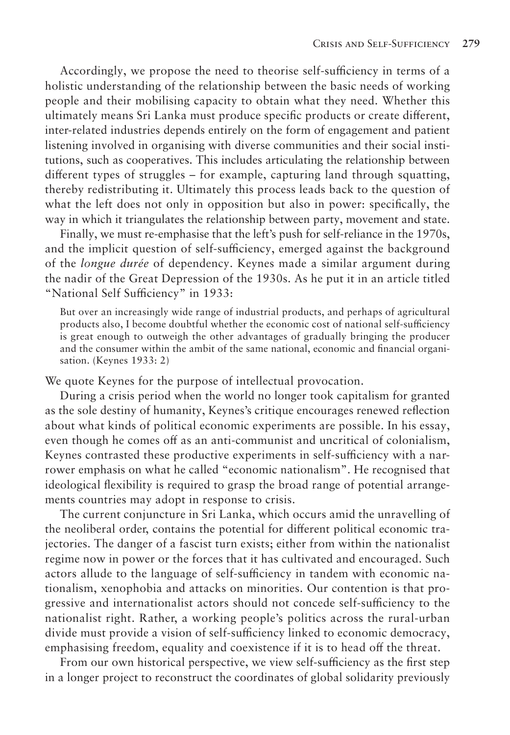Accordingly, we propose the need to theorise self-sufficiency in terms of a holistic understanding of the relationship between the basic needs of working people and their mobilising capacity to obtain what they need. Whether this ultimately means Sri Lanka must produce specific products or create different, inter-related industries depends entirely on the form of engagement and patient listening involved in organising with diverse communities and their social institutions, such as cooperatives. This includes articulating the relationship between different types of struggles – for example, capturing land through squatting, thereby redistributing it. Ultimately this process leads back to the question of what the left does not only in opposition but also in power: specifically, the way in which it triangulates the relationship between party, movement and state.

Finally, we must re-emphasise that the left's push for self-reliance in the 1970s, and the implicit question of self-sufficiency, emerged against the background of the *longue durée* of dependency. Keynes made a similar argument during the nadir of the Great Depression of the 1930s. As he put it in an article titled "National Self Sufficiency" in 1933:

But over an increasingly wide range of industrial products, and perhaps of agricultural products also, I become doubtful whether the economic cost of national self-sufficiency is great enough to outweigh the other advantages of gradually bringing the producer and the consumer within the ambit of the same national, economic and financial organisation. (Keynes 1933: 2)

We quote Keynes for the purpose of intellectual provocation.

During a crisis period when the world no longer took capitalism for granted as the sole destiny of humanity, Keynes's critique encourages renewed reflection about what kinds of political economic experiments are possible. In his essay, even though he comes off as an anti-communist and uncritical of colonialism, Keynes contrasted these productive experiments in self-sufficiency with a narrower emphasis on what he called "economic nationalism". He recognised that ideological flexibility is required to grasp the broad range of potential arrangements countries may adopt in response to crisis.

The current conjuncture in Sri Lanka, which occurs amid the unravelling of the neoliberal order, contains the potential for different political economic trajectories. The danger of a fascist turn exists; either from within the nationalist regime now in power or the forces that it has cultivated and encouraged. Such actors allude to the language of self-sufficiency in tandem with economic nationalism, xenophobia and attacks on minorities. Our contention is that progressive and internationalist actors should not concede self-sufficiency to the nationalist right. Rather, a working people's politics across the rural-urban divide must provide a vision of self-sufficiency linked to economic democracy, emphasising freedom, equality and coexistence if it is to head off the threat.

From our own historical perspective, we view self-sufficiency as the first step in a longer project to reconstruct the coordinates of global solidarity previously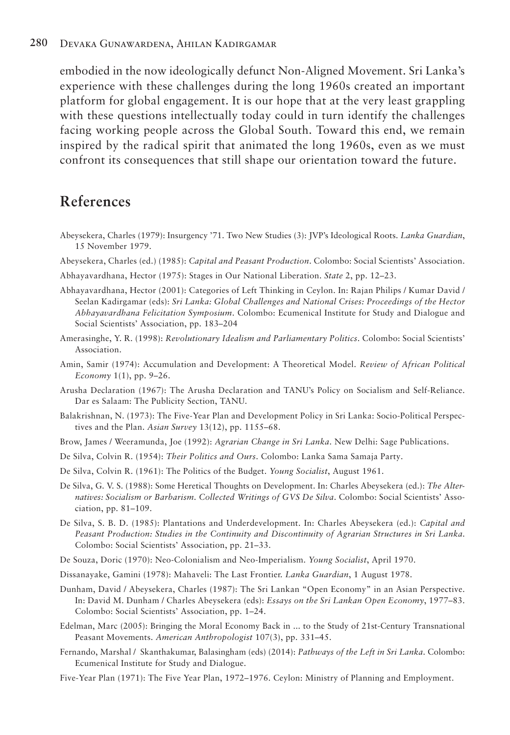#### **280** Devaka Gunawardena, Ahilan Kadirgamar

embodied in the now ideologically defunct Non-Aligned Movement. Sri Lanka's experience with these challenges during the long 1960s created an important platform for global engagement. It is our hope that at the very least grappling with these questions intellectually today could in turn identify the challenges facing working people across the Global South. Toward this end, we remain inspired by the radical spirit that animated the long 1960s, even as we must confront its consequences that still shape our orientation toward the future.

# **References**

- Abeysekera, Charles (1979): Insurgency '71. Two New Studies (3): JVP's Ideological Roots. *Lanka Guardian*, 15 November 1979.
- Abeysekera, Charles (ed.) (1985): *Capital and Peasant Production*. Colombo: Social Scientists' Association.
- Abhayavardhana, Hector (1975): Stages in Our National Liberation. *State* 2, pp. 12–23.
- Abhayavardhana, Hector (2001): Categories of Left Thinking in Ceylon. In: Rajan Philips / Kumar David / Seelan Kadirgamar (eds): *Sri Lanka: Global Challenges and National Crises: Proceedings of the Hector Abhayavardhana Felicitation Symposium*. Colombo: Ecumenical Institute for Study and Dialogue and Social Scientists' Association, pp. 183–204
- Amerasinghe, Y. R. (1998): *Revolutionary Idealism and Parliamentary Politics*. Colombo: Social Scientists' Association.
- Amin, Samir (1974): Accumulation and Development: A Theoretical Model. *Review of African Political Economy* 1(1), pp. 9–26.
- Arusha Declaration (1967): The Arusha Declaration and TANU's Policy on Socialism and Self-Reliance. Dar es Salaam: The Publicity Section, TANU.
- Balakrishnan, N. (1973): The Five-Year Plan and Development Policy in Sri Lanka: Socio-Political Perspectives and the Plan. *Asian Survey* 13(12), pp. 1155–68.
- Brow, James / Weeramunda, Joe (1992): *Agrarian Change in Sri Lanka*. New Delhi: Sage Publications.
- De Silva, Colvin R. (1954): *Their Politics and Ours*. Colombo: Lanka Sama Samaja Party.
- De Silva, Colvin R. (1961): The Politics of the Budget. *Young Socialist*, August 1961.
- De Silva, G. V. S. (1988): Some Heretical Thoughts on Development. In: Charles Abeysekera (ed.): *The Alternatives: Socialism or Barbarism. Collected Writings of GVS De Silva*. Colombo: Social Scientists' Association, pp. 81–109.
- De Silva, S. B. D. (1985): Plantations and Underdevelopment. In: Charles Abeysekera (ed.): *Capital and Peasant Production: Studies in the Continuity and Discontinuity of Agrarian Structures in Sri Lanka*. Colombo: Social Scientists' Association, pp. 21–33.
- De Souza, Doric (1970): Neo-Colonialism and Neo-Imperialism. *Young Socialist*, April 1970.
- Dissanayake, Gamini (1978): Mahaveli: The Last Frontier. *Lanka Guardian*, 1 August 1978.
- Dunham, David / Abeysekera, Charles (1987): The Sri Lankan "Open Economy" in an Asian Perspective. In: David M. Dunham / Charles Abeysekera (eds): *Essays on the Sri Lankan Open Economy*, 1977–83. Colombo: Social Scientists' Association, pp. 1–24.
- Edelman, Marc (2005): Bringing the Moral Economy Back in ... to the Study of 21st-Century Transnational Peasant Movements. *American Anthropologist* 107(3), pp. 331–45.
- Fernando, Marshal / Skanthakumar, Balasingham (eds) (2014): *Pathways of the Left in Sri Lanka*. Colombo: Ecumenical Institute for Study and Dialogue.
- Five-Year Plan (1971): The Five Year Plan, 1972–1976. Ceylon: Ministry of Planning and Employment.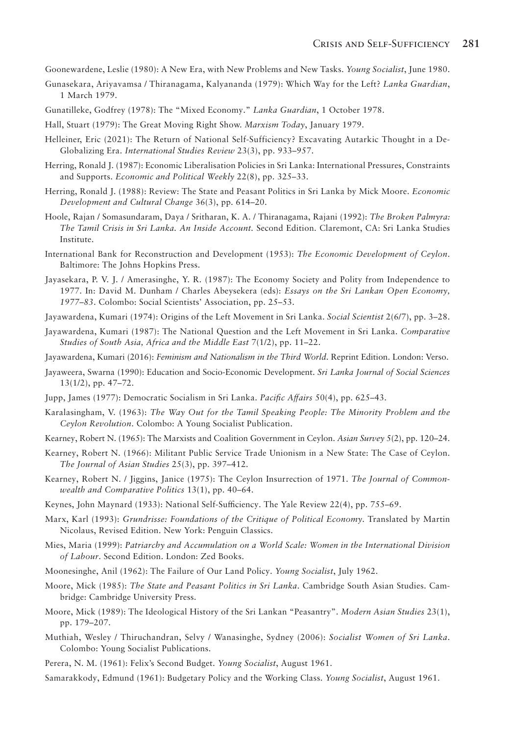Goonewardene, Leslie (1980): A New Era, with New Problems and New Tasks. *Young Socialist*, June 1980.

- Gunasekara, Ariyavamsa / Thiranagama, Kalyananda (1979): Which Way for the Left? *Lanka Guardian*, 1 March 1979.
- Gunatilleke, Godfrey (1978): The "Mixed Economy." *Lanka Guardian*, 1 October 1978.
- Hall, Stuart (1979): The Great Moving Right Show. *Marxism Today*, January 1979.
- Helleiner, Eric (2021): The Return of National Self-Sufficiency? Excavating Autarkic Thought in a De-Globalizing Era. *International Studies Review* 23(3), pp. 933–957.
- Herring, Ronald J. (1987): Economic Liberalisation Policies in Sri Lanka: International Pressures, Constraints and Supports. *Economic and Political Weekly* 22(8), pp. 325–33.
- Herring, Ronald J. (1988): Review: The State and Peasant Politics in Sri Lanka by Mick Moore. *Economic Development and Cultural Change* 36(3), pp. 614–20.
- Hoole, Rajan / Somasundaram, Daya / Sritharan, K. A. / Thiranagama, Rajani (1992): *The Broken Palmyra: The Tamil Crisis in Sri Lanka. An Inside Account.* Second Edition. Claremont, CA: Sri Lanka Studies Institute.
- International Bank for Reconstruction and Development (1953): *The Economic Development of Ceylon*. Baltimore: The Johns Hopkins Press.
- Jayasekara, P. V. J. / Amerasinghe, Y. R. (1987): The Economy Society and Polity from Independence to 1977. In: David M. Dunham / Charles Abeysekera (eds): *Essays on the Sri Lankan Open Economy, 1977–83*. Colombo: Social Scientists' Association, pp. 25–53.
- Jayawardena, Kumari (1974): Origins of the Left Movement in Sri Lanka. *Social Scientist* 2(6/7), pp. 3–28.
- Jayawardena, Kumari (1987): The National Question and the Left Movement in Sri Lanka. *Comparative Studies of South Asia, Africa and the Middle East* 7(1/2), pp. 11–22.
- Jayawardena, Kumari (2016): *Feminism and Nationalism in the Third World*. Reprint Edition. London: Verso.
- Jayaweera, Swarna (1990): Education and Socio-Economic Development. *Sri Lanka Journal of Social Sciences* 13(1/2), pp. 47–72.
- Jupp, James (1977): Democratic Socialism in Sri Lanka. *Pacific Affairs* 50(4), pp. 625–43.
- Karalasingham, V. (1963): *The Way Out for the Tamil Speaking People: The Minority Problem and the Ceylon Revolution*. Colombo: A Young Socialist Publication.
- Kearney, Robert N. (1965): The Marxists and Coalition Government in Ceylon. *Asian Survey* 5(2), pp. 120–24.
- Kearney, Robert N. (1966): Militant Public Service Trade Unionism in a New State: The Case of Ceylon. *The Journal of Asian Studies* 25(3), pp. 397–412.
- Kearney, Robert N. / Jiggins, Janice (1975): The Ceylon Insurrection of 1971. *The Journal of Commonwealth and Comparative Politics* 13(1), pp. 40–64.
- Keynes, John Maynard (1933): National Self-Sufficiency. The Yale Review 22(4), pp. 755–69.
- Marx, Karl (1993): *Grundrisse: Foundations of the Critique of Political Economy*. Translated by Martin Nicolaus, Revised Edition. New York: Penguin Classics.
- Mies, Maria (1999): *Patriarchy and Accumulation on a World Scale: Women in the International Division of Labour*. Second Edition. London: Zed Books.
- Moonesinghe, Anil (1962): The Failure of Our Land Policy. *Young Socialist*, July 1962.
- Moore, Mick (1985): *The State and Peasant Politics in Sri Lanka*. Cambridge South Asian Studies. Cambridge: Cambridge University Press.
- Moore, Mick (1989): The Ideological History of the Sri Lankan "Peasantry". *Modern Asian Studies* 23(1), pp. 179–207.
- Muthiah, Wesley / Thiruchandran, Selvy / Wanasinghe, Sydney (2006): *Socialist Women of Sri Lanka*. Colombo: Young Socialist Publications.
- Perera, N. M. (1961): Felix's Second Budget. *Young Socialist*, August 1961.
- Samarakkody, Edmund (1961): Budgetary Policy and the Working Class. *Young Socialist*, August 1961.